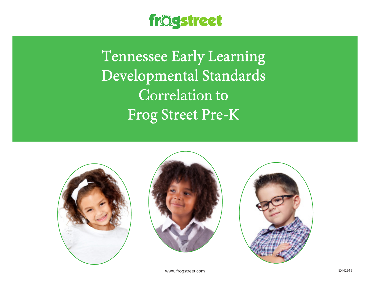

Tennessee Early Learning Developmental Standards Correlation to Frog Street Pre-K







www.frogstreet.com extensive the community of the community of the community of the community of the community of the community of the community of the community of the community of the community of the community of the co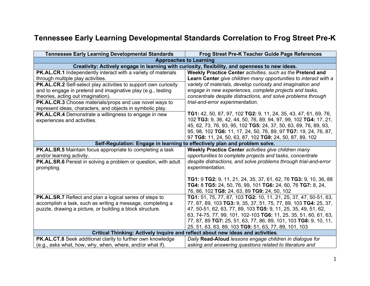## **Tennessee Early Learning Developmental Standards Correlation to Frog Street Pre-K**

| <b>Tennessee Early Learning Developmental Standards</b>                                                               | <b>Frog Street Pre-K Teacher Guide Page References</b>                                                                             |
|-----------------------------------------------------------------------------------------------------------------------|------------------------------------------------------------------------------------------------------------------------------------|
|                                                                                                                       | <b>Approaches to Learning</b>                                                                                                      |
|                                                                                                                       | Creativity: Actively engage in learning with curiosity, flexibility, and openness to new ideas.                                    |
| PK.AL.CR.1 Independently interact with a variety of materials                                                         | Weekly Practice Center activities, such as the Pretend and                                                                         |
| through multiple play activities.                                                                                     | Learn Center give children many opportunities to interact with a                                                                   |
| PK.AL.CR.2 Self-select play activities to support own curiosity                                                       | variety of materials, develop curiosity and imagination and                                                                        |
| and to engage in pretend and imaginative play (e.g., testing                                                          | engage in new experiences, complete projects and tasks,                                                                            |
| theories, acting out imagination).                                                                                    | concentrate despite distractions, and solve problems through                                                                       |
| PK.AL.CR.3 Choose materials/props and use novel ways to<br>represent ideas, characters, and objects in symbolic play. | trial-and-error experimentation.                                                                                                   |
| <b>PK.AL.CR.4</b> Demonstrate a willingness to engage in new                                                          | <b>TG1:</b> 42, 50, 87, 97, 102 <b>TG2:</b> 9, 11, 24, 35, 43, 47, 61, 69, 76,                                                     |
| experiences and activities.                                                                                           | 102 TG3: 9, 36, 42, 44, 50, 76, 89, 94, 97, 99, 102 TG4: 17, 21,                                                                   |
|                                                                                                                       | 45, 62, 73, 76, 93, 95, 102 TG5: 24, 37, 50, 63, 69, 76, 89, 93,                                                                   |
|                                                                                                                       | 95, 98, 102 TG6: 11, 17, 24, 50, 76, 89, 97 TG7: 19, 24, 76, 87,                                                                   |
|                                                                                                                       | 97 TG8: 11, 24, 50, 63, 87, 102 TG9: 24, 50, 87, 89, 102                                                                           |
|                                                                                                                       | Self-Regulation: Engage in learning to effectively plan and problem solve.                                                         |
| <b>PK.AL.SR.5</b> Maintain focus appropriate to completing a task                                                     | Weekly Practice Center activities give children many                                                                               |
| and/or learning activity.                                                                                             | opportunities to complete projects and tasks, concentrate                                                                          |
| <b>PK.AL.SR.6</b> Persist in solving a problem or question, with adult                                                | despite distractions, and solve problems through trial-and-error                                                                   |
| prompting.                                                                                                            | experimentation.                                                                                                                   |
|                                                                                                                       |                                                                                                                                    |
|                                                                                                                       | TG1: 9 TG2: 9, 11, 21, 24, 35, 37, 61, 62, 76 TG3: 9, 10, 36, 88                                                                   |
|                                                                                                                       | TG4: 8 TG5: 24, 50, 76, 99, 101 TG6: 24, 60, 76 TG7: 8, 24,                                                                        |
|                                                                                                                       | 76, 86, 102 TG8: 24, 63, 89 TG9: 24, 50, 102                                                                                       |
| PK.AL.SR.7 Reflect and plan a logical series of steps to                                                              | TG1: 51, 75, 77, 87, 103 TG2: 10, 11, 21, 25, 37, 47, 50-51, 63,                                                                   |
| accomplish a task, such as writing a message, completing a                                                            | 77, 87, 89, 103 TG3: 9, 35, 37, 51, 75, 77, 89, 103 TG4: 25, 37,                                                                   |
| puzzle, drawing a picture, or building a block structure.                                                             | 47, 50-51, 62, 63, 77, 89, 103 TG5: 9, 11, 25, 35, 49, 51, 62,<br>63, 74-75, 77, 99, 101, 102-103 TG6: 11, 25, 35, 51, 60, 61, 63, |
|                                                                                                                       | 77, 87, 89 TG7: 25, 51, 63, 77, 86, 89, 101, 103 TG8: 9, 10, 11,                                                                   |
|                                                                                                                       | 25, 51, 63, 63, 89, 103 TG9: 51, 63, 77, 89, 101, 103                                                                              |
|                                                                                                                       | Critical Thinking: Actively inquire and reflect about new ideas and activities.                                                    |
| PK.AL.CT.8 Seek additional clarity to further own knowledge                                                           | Daily Read-Aloud lessons engage children in dialogue for                                                                           |
| (e.g., asks what, how, why, when, where, and/or what if).                                                             | asking and answering questions related to literature and                                                                           |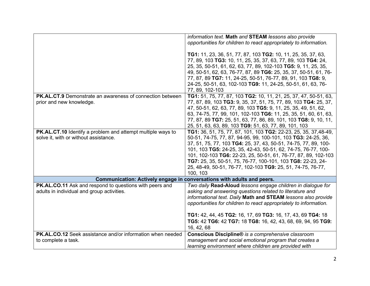|                                                                                              | information text. Math and STEAM lessons also provide                                                                                                                                                                                                                                                                                |
|----------------------------------------------------------------------------------------------|--------------------------------------------------------------------------------------------------------------------------------------------------------------------------------------------------------------------------------------------------------------------------------------------------------------------------------------|
|                                                                                              | opportunities for children to react appropriately to information.                                                                                                                                                                                                                                                                    |
|                                                                                              |                                                                                                                                                                                                                                                                                                                                      |
|                                                                                              | TG1: 11, 23, 36, 51, 77, 87, 103 TG2: 10, 11, 25, 35, 37, 63,<br>77, 89, 103 TG3: 10, 11, 25, 35, 37, 63, 77, 89, 103 TG4: 24,<br>25, 35, 50-51, 61, 62, 63, 77, 89, 102-103 TG5: 9, 11, 25, 35,<br>49, 50-51, 62, 63, 76-77, 87, 89 TG6: 25, 35, 37, 50-51, 61, 76-<br>77, 87, 89 TG7: 11, 24-25, 50-51, 76-77, 89, 91, 103 TG8: 9, |
|                                                                                              | 24-25, 50-51, 63, 102-103 TG9: 11, 24-25, 50-51, 61, 63, 76-                                                                                                                                                                                                                                                                         |
|                                                                                              | 77, 89, 102-103                                                                                                                                                                                                                                                                                                                      |
| <b>PK.AL.CT.9</b> Demonstrate an awareness of connection between<br>prior and new knowledge. | TG1: 51, 75, 77, 87, 103 TG2: 10, 11, 21, 25, 37, 47, 50-51, 63,<br>77, 87, 89, 103 TG3: 9, 35, 37, 51, 75, 77, 89, 103 TG4: 25, 37,<br>47, 50-51, 62, 63, 77, 89, 103 TG5: 9, 11, 25, 35, 49, 51, 62,<br>63, 74-75, 77, 99, 101, 102-103 TG6: 11, 25, 35, 51, 60, 61, 63,                                                           |
|                                                                                              | 77, 87, 89 TG7: 25, 51, 63, 77, 86, 89, 101, 103 TG8: 9, 10, 11,                                                                                                                                                                                                                                                                     |
|                                                                                              | 25, 51, 63, 63, 89, 103 TG9: 51, 63, 77, 89, 101, 103                                                                                                                                                                                                                                                                                |
| PK.AL.CT.10 Identify a problem and attempt multiple ways to                                  | TG1: 36, 51, 75, 77, 87, 101, 103 TG2: 22-23, 25, 35, 37, 48-49,                                                                                                                                                                                                                                                                     |
| solve it, with or without assistance.                                                        | 50-51, 74-75, 77, 87, 94-95, 99, 100-101, 103 TG3: 24-25, 36,                                                                                                                                                                                                                                                                        |
|                                                                                              | 37, 51, 75, 77, 103 TG4: 25, 37, 43, 50-51, 74-75, 77, 89, 100-                                                                                                                                                                                                                                                                      |
|                                                                                              | 101, 103 TG5: 24-25, 35, 42-43, 50-51, 62, 74-75, 76-77, 100-<br>101, 102-103 TG6: 22-23, 25, 50-51, 61, 76-77, 87, 89, 102-103                                                                                                                                                                                                      |
|                                                                                              | TG7: 25, 35, 50-51, 75, 76-77, 100-101, 103 TG8: 22-23, 24-                                                                                                                                                                                                                                                                          |
|                                                                                              | 25, 48-49, 50-51, 76-77, 102-103 TG9: 25, 51, 74-75, 76-77,                                                                                                                                                                                                                                                                          |
|                                                                                              | 100, 103                                                                                                                                                                                                                                                                                                                             |
|                                                                                              |                                                                                                                                                                                                                                                                                                                                      |
|                                                                                              | <b>Communication: Actively engage in conversations with adults and peers.</b>                                                                                                                                                                                                                                                        |
| PK.AL.CO.11 Ask and respond to questions with peers and                                      | Two daily Read-Aloud lessons engage children in dialogue for                                                                                                                                                                                                                                                                         |
| adults in individual and group activities.                                                   | asking and answering questions related to literature and                                                                                                                                                                                                                                                                             |
|                                                                                              | informational text. Daily Math and STEAM lessons also provide                                                                                                                                                                                                                                                                        |
|                                                                                              | opportunities for children to react appropriately to information.                                                                                                                                                                                                                                                                    |
|                                                                                              | TG1: 42, 44, 45 TG2: 16, 17, 69 TG3: 16, 17, 43, 69 TG4: 18                                                                                                                                                                                                                                                                          |
|                                                                                              | TG5: 42 TG6: 42 TG7: 18 TG8: 16, 42, 43, 68, 69, 94, 95 TG9:                                                                                                                                                                                                                                                                         |
|                                                                                              | 16, 42, 68                                                                                                                                                                                                                                                                                                                           |
| PK.AL.CO.12 Seek assistance and/or information when needed                                   | Conscious Discipline® is a comprehensive classroom                                                                                                                                                                                                                                                                                   |
| to complete a task.                                                                          | management and social emotional program that creates a                                                                                                                                                                                                                                                                               |
|                                                                                              | learning environment where children are provided with                                                                                                                                                                                                                                                                                |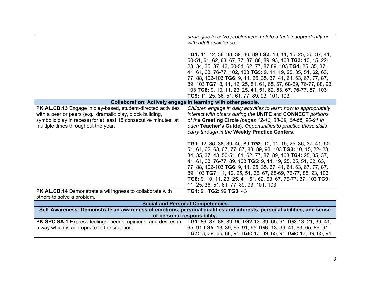|                                                                                                                                                                                                                                        | strategies to solve problems/complete a task independently or<br>with adult assistance.<br><b>TG1:</b> 11, 12, 36, 38, 39, 46, 89 <b>TG2:</b> 10, 11, 15, 25, 36, 37, 41,<br>50-51, 61, 62, 63, 67, 77, 87, 88, 89, 93, 103 TG3: 10, 15, 22-<br>23, 34, 35, 37, 43, 50-51, 62, 77, 87 89, 103 TG4: 25, 35, 37,<br>41, 61, 63, 76-77, 102, 103 TG5: 9, 11, 19, 25, 35, 51, 62, 63,<br>77, 88, 102-103 TG6: 9, 11, 25, 35, 37, 41, 61, 63, 67, 77, 87,<br>89, 103 TG7: 8, 11, 12, 25, 51, 61, 65, 67, 68-69, 76-77, 88, 93,<br>103 TG8: 9, 10, 11, 23, 25, 41, 51, 62, 63, 67, 76-77, 87, 103<br>TG9: 11, 25, 36, 51, 61, 77, 89, 93, 101, 103                                                                                                                                                                                                      |
|----------------------------------------------------------------------------------------------------------------------------------------------------------------------------------------------------------------------------------------|---------------------------------------------------------------------------------------------------------------------------------------------------------------------------------------------------------------------------------------------------------------------------------------------------------------------------------------------------------------------------------------------------------------------------------------------------------------------------------------------------------------------------------------------------------------------------------------------------------------------------------------------------------------------------------------------------------------------------------------------------------------------------------------------------------------------------------------------------|
|                                                                                                                                                                                                                                        | Collaboration: Actively engage in learning with other people.                                                                                                                                                                                                                                                                                                                                                                                                                                                                                                                                                                                                                                                                                                                                                                                     |
| PK.AL.CB.13 Engage in play-based, student-directed activities<br>with a peer or peers (e.g., dramatic play, block building,<br>symbolic play in recess) for at least 15 consecutive minutes, at<br>multiple times throughout the year. | Children engage in daily activities to learn how to appropriately<br>interact with others during the UNITE and CONNECT portions<br>of the Greeting Circle (pages 12-13, 38-39, 64-65, 90-91 in<br>each Teacher's Guide). Opportunities to practice these skills<br>carry through in the Weekly Practice Centers.<br>TG1: 12, 36, 38, 39, 46, 89 TG2: 10, 11, 15, 25, 36, 37, 41, 50-<br>51, 61, 62, 63, 67, 77, 87, 88, 89, 93, 103 TG3: 10, 15, 22- 23,<br>34, 35, 37, 43, 50-51, 61, 62, 77, 87, 89, 103 TG4: 25, 35, 37,<br>41, 61, 63, 76-77, 89, 103 TG5: 9, 11, 19, 25, 35, 51, 62, 63,<br>77, 88, 102-103 TG6: 9, 11, 25, 35, 37, 41, 61, 63, 67, 77, 87,<br>89, 103 TG7: 11, 12, 25, 51, 65, 67, 68-69, 76-77, 88, 93, 103<br>TG8: 9, 10, 11, 23, 25, 41, 51, 62, 63, 67, 76-77, 87, 103 TG9:<br>11, 25, 36, 51, 61, 77, 89, 93, 101, 103 |
| PK.AL.CB.14 Demonstrate a willingness to collaborate with<br>others to solve a problem.                                                                                                                                                | TG1: 91 TG2: 99 TG3: 43                                                                                                                                                                                                                                                                                                                                                                                                                                                                                                                                                                                                                                                                                                                                                                                                                           |
|                                                                                                                                                                                                                                        | <b>Social and Personal Competencies</b>                                                                                                                                                                                                                                                                                                                                                                                                                                                                                                                                                                                                                                                                                                                                                                                                           |
|                                                                                                                                                                                                                                        | Self-Awareness: Demonstrate an awareness of emotions, personal qualities and interests, personal abilities, and sense                                                                                                                                                                                                                                                                                                                                                                                                                                                                                                                                                                                                                                                                                                                             |
|                                                                                                                                                                                                                                        | of personal responsibility.                                                                                                                                                                                                                                                                                                                                                                                                                                                                                                                                                                                                                                                                                                                                                                                                                       |
| PK.SPC.SA.1 Express feelings, needs, opinions, and desires in<br>a way which is appropriate to the situation.                                                                                                                          | TG1: 86, 87, 88, 89, 95 TG2:13, 39, 65, 91 TG3:13, 21, 39, 41,<br>65, 91 TG5: 13, 39, 65, 91, 95 TG6: 13, 39, 41, 63, 65, 89, 91<br>TG7:13, 39, 65, 88, 91 TG8: 13, 39, 65, 91 TG9: 13, 39, 65, 91                                                                                                                                                                                                                                                                                                                                                                                                                                                                                                                                                                                                                                                |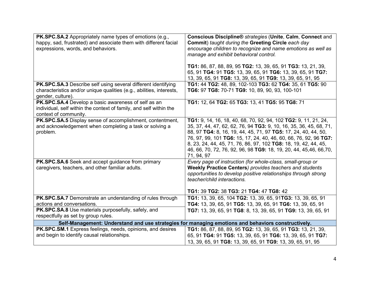| <b>PK.SPC.SA.2</b> Appropriately name types of emotions (e.g.,<br>happy, sad, frustrated) and associate them with different facial<br>expressions, words, and behaviors. | Conscious Discipline® strategies (Unite, Calm, Connect and<br>Commit) taught during the Greeting Circle each day<br>encourage children to recognize and name emotions as well as<br>manage and exhibit behavioral control.<br>TG1: 86, 87, 88, 89, 95 TG2: 13, 39, 65, 91 TG3: 13, 21, 39,<br>65, 91 TG4: 91 TG5: 13, 39, 65, 91 TG6: 13, 39, 65, 91 TG7:<br>13, 39, 65, 91 TG8: 13, 39, 65, 91 TG9: 13, 39, 65, 91, 95           |
|--------------------------------------------------------------------------------------------------------------------------------------------------------------------------|-----------------------------------------------------------------------------------------------------------------------------------------------------------------------------------------------------------------------------------------------------------------------------------------------------------------------------------------------------------------------------------------------------------------------------------|
| PK.SPC.SA.3 Describe self using several different identifying<br>characteristics and/or unique qualities (e.g., abilities, interests,<br>gender, culture).               | TG1: 44 TG2: 48, 89, 102-103 TG3: 62 TG4: 35, 61 TG5: 90<br>TG6: 97 TG8: 70-71 TG9: 10, 89, 90, 93, 100-101                                                                                                                                                                                                                                                                                                                       |
| PK.SPC.SA.4 Develop a basic awareness of self as an<br>individual, self within the context of family, and self within the<br>context of community.                       | TG1: 12, 64 TG2: 65 TG3: 13, 41 TG5: 95 TG8: 71                                                                                                                                                                                                                                                                                                                                                                                   |
| PK.SPC.SA.5 Display sense of accomplishment, contentment,<br>and acknowledgement when completing a task or solving a<br>problem.                                         | TG1: 9, 14, 16, 18, 40, 68, 70, 92, 94, 102 TG2: 9, 11, 21, 24,<br>35, 37, 44, 47, 62, 62, 76, 94 TG3: 9, 10, 16, 35, 36, 45, 68, 71,<br>88, 97 TG4: 8, 16, 19, 44, 45, 71, 97 TG5: 17, 24, 40, 44, 50,<br>76, 97, 99, 101 TG6: 15, 17, 24, 40, 46, 60, 66, 76, 92, 96 TG7:<br>8, 23, 24, 44, 45, 71, 76, 86, 97, 102 TG8: 18, 19, 42, 44, 45,<br>46, 66, 70, 72, 76, 92, 96, 98 TG9: 18, 19, 20, 44, 45,46, 66,70,<br>71, 94, 97 |
| PK.SPC.SA.6 Seek and accept guidance from primary<br>caregivers, teachers, and other familiar adults.                                                                    | Every page of instruction (for whole-class, small-group or<br><b>Weekly Practice Centers) provides teachers and students</b><br>opportunities to develop positive relationships through strong<br>teacher/child interactions.<br>TG1: 39 TG2: 38 TG3: 21 TG4: 47 TG8: 42                                                                                                                                                          |
| PK.SPC.SA.7 Demonstrate an understanding of rules through<br>actions and conversations.                                                                                  | TG1: 13, 39, 65, 104 TG2: 13, 39, 65, 91TG3: 13, 39, 65, 91                                                                                                                                                                                                                                                                                                                                                                       |
| PK.SPC.SA.8 Use materials purposefully, safely, and<br>respectfully as set by group rules.                                                                               | TG4: 13, 39, 65, 91 TG5: 13, 39, 65, 91 TG6: 13, 39, 65, 91<br>TG7: 13, 39, 65, 91 TG8: 8, 13, 39, 65, 91 TG9: 13, 39, 65, 91                                                                                                                                                                                                                                                                                                     |
|                                                                                                                                                                          | Self-Management: Understand and use strategies for managing emotions and behaviors constructively.                                                                                                                                                                                                                                                                                                                                |
| PK.SPC.SM.1 Express feelings, needs, opinions, and desires<br>and begin to identify causal relationships.                                                                | TG1: 86, 87, 88, 89, 95 TG2: 13, 39, 65, 91 TG3: 13, 21, 39,<br>65, 91 TG4: 91 TG5: 13, 39, 65, 91 TG6: 13, 39, 65, 91 TG7:<br>13, 39, 65, 91 TG8: 13, 39, 65, 91 TG9: 13, 39, 65, 91, 95                                                                                                                                                                                                                                         |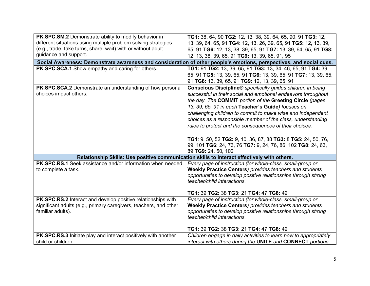| PK.SPC.SM.2 Demonstrate ability to modify behavior in                                | TG1: 38, 64, 90 TG2: 12, 13, 38, 39, 64, 65, 90, 91 TG3: 12,                                                                                              |
|--------------------------------------------------------------------------------------|-----------------------------------------------------------------------------------------------------------------------------------------------------------|
| different situations using multiple problem solving strategies                       | 13, 39, 64, 65, 91 TG4: 12, 13, 26, 39, 65, 91 TG5: 12, 13, 39,                                                                                           |
| (e.g., trade, take turns, share, wait) with or without adult                         | 65, 91 TG6: 12, 13, 38, 39, 65, 91 TG7: 13, 39, 64, 65, 91 TG8:                                                                                           |
| guidance and support.                                                                | 12, 13, 38, 39, 65, 91 TG9: 13, 39, 65, 91, 95                                                                                                            |
|                                                                                      | Social Awareness: Demonstrate awareness and consideration of other people's emotions, perspectives, and social cues.                                      |
| PK.SPC.SCA.1 Show empathy and caring for others.                                     | TG1: 91 TG2: 13, 39, 65, 91 TG3: 13, 34, 46, 65, 91 TG4: 39,                                                                                              |
|                                                                                      | 65, 91 TG5: 13, 39, 65, 91 TG6: 13, 39, 65, 91 TG7: 13, 39, 65,                                                                                           |
|                                                                                      | 91 TG8: 13, 39, 65, 91 TG9: 12, 13, 39, 65, 91                                                                                                            |
| PK.SPC.SCA.2 Demonstrate an understanding of how personal                            | Conscious Discipline® specifically guides children in being                                                                                               |
| choices impact others.                                                               | successful in their social and emotional endeavors throughout                                                                                             |
|                                                                                      | the day. The COMMIT portion of the Greeting Circle (pages                                                                                                 |
|                                                                                      | 13, 39, 65, 91 in each Teacher's Guide) focuses on                                                                                                        |
|                                                                                      | challenging children to commit to make wise and independent                                                                                               |
|                                                                                      | choices as a responsible member of the class, understanding                                                                                               |
|                                                                                      | rules to protect and the consequences of their choices.                                                                                                   |
|                                                                                      |                                                                                                                                                           |
|                                                                                      | TG1: 9, 50, 52 TG2: 9, 10, 36, 87, 88 TG3: 8 TG5: 24, 50, 76,                                                                                             |
|                                                                                      | 99, 101 TG6: 24, 73, 76 TG7: 9, 24, 76, 86, 102 TG8: 24, 63,                                                                                              |
|                                                                                      | 89 TG9: 24, 50, 102                                                                                                                                       |
| <b>PK.SPC.RS.1</b> Seek assistance and/or information when needed                    | Relationship Skills: Use positive communication skills to interact effectively with others.<br>Every page of instruction (for whole-class, small-group or |
| to complete a task.                                                                  | <b>Weekly Practice Centers</b> ) provides teachers and students                                                                                           |
|                                                                                      | opportunities to develop positive relationships through strong                                                                                            |
|                                                                                      | teacher/child interactions.                                                                                                                               |
|                                                                                      |                                                                                                                                                           |
|                                                                                      | TG1: 39 TG2: 38 TG3: 21 TG4: 47 TG8: 42                                                                                                                   |
| PK.SPC.RS.2 Interact and develop positive relationships with                         | Every page of instruction (for whole-class, small-group or                                                                                                |
| significant adults (e.g., primary caregivers, teachers, and other                    | <b>Weekly Practice Centers) provides teachers and students</b>                                                                                            |
| familiar adults).                                                                    | opportunities to develop positive relationships through strong                                                                                            |
|                                                                                      | teacher/child interactions.                                                                                                                               |
|                                                                                      |                                                                                                                                                           |
|                                                                                      | TG1: 39 TG2: 38 TG3: 21 TG4: 47 TG8: 42                                                                                                                   |
| PK.SPC.RS.3 Initiate play and interact positively with another<br>child or children. | Children engage in daily activities to learn how to appropriately<br>interact with others during the UNITE and CONNECT portions                           |
|                                                                                      |                                                                                                                                                           |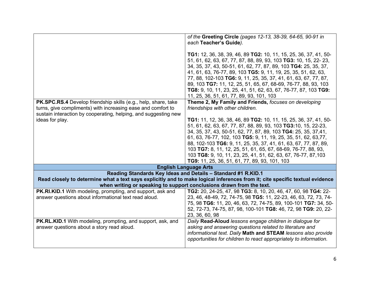|                                                                 | of the Greeting Circle (pages 12-13, 38-39, 64-65, 90-91 in                                                                  |
|-----------------------------------------------------------------|------------------------------------------------------------------------------------------------------------------------------|
|                                                                 | each Teacher's Guide).                                                                                                       |
|                                                                 |                                                                                                                              |
|                                                                 | TG1: 12, 36, 38, 39, 46, 89 TG2: 10, 11, 15, 25, 36, 37, 41, 50-                                                             |
|                                                                 | 51, 61, 62, 63, 67, 77, 87, 88, 89, 93, 103 TG3: 10, 15, 22- 23,                                                             |
|                                                                 | 34, 35, 37, 43, 50-51, 61, 62, 77, 87, 89, 103 TG4: 25, 35, 37,                                                              |
|                                                                 | 41, 61, 63, 76-77, 89, 103 TG5: 9, 11, 19, 25, 35, 51, 62, 63,                                                               |
|                                                                 |                                                                                                                              |
|                                                                 | 77, 88, 102-103 TG6: 9, 11, 25, 35, 37, 41, 61, 63, 67, 77, 87,                                                              |
|                                                                 | 89, 103 TG7: 11, 12, 25, 51, 65, 67, 68-69, 76-77, 88, 93, 103                                                               |
|                                                                 | TG8: 9, 10, 11, 23, 25, 41, 51, 62, 63, 67, 76-77, 87, 103 TG9:                                                              |
|                                                                 | 11, 25, 36, 51, 61, 77, 89, 93, 101, 103                                                                                     |
| PK.SPC.RS.4 Develop friendship skills (e.g., help, share, take  | Theme 2, My Family and Friends, focuses on developing                                                                        |
| turns, give compliments) with increasing ease and comfort to    | friendships with other children.                                                                                             |
| sustain interaction by cooperating, helping, and suggesting new |                                                                                                                              |
| ideas for play.                                                 | TG1: 11, 12, 36, 38, 46, 89 TG2: 10, 11, 15, 25, 36, 37, 41, 50-                                                             |
|                                                                 | 51, 61, 62, 63, 67, 77, 87, 88, 89, 93, 103 TG3:10, 15, 22-23,                                                               |
|                                                                 | 34, 35, 37, 43, 50-51, 62, 77, 87, 89, 103 TG4: 25, 35, 37,41,                                                               |
|                                                                 | 61, 63, 76-77, 102, 103 TG5: 9, 11, 19, 25, 35, 51, 62, 63, 77,                                                              |
|                                                                 | 88, 102-103 TG6: 9, 11, 25, 35, 37, 41, 61, 63, 67, 77, 87, 89,                                                              |
|                                                                 | 103 TG7: 8, 11, 12, 25, 51, 61, 65, 67, 68-69, 76-77, 88, 93,                                                                |
|                                                                 | 103 TG8: 9, 10, 11, 23, 25, 41, 51, 62, 63, 67, 76-77, 87, 103                                                               |
|                                                                 | TG9: 11, 25, 36, 51, 61, 77, 89, 93, 101, 103                                                                                |
|                                                                 | <b>English Language Arts</b>                                                                                                 |
|                                                                 | Reading Standards Key Ideas and Details - Standard #1 R.KID.1                                                                |
|                                                                 | Read closely to determine what a text says explicitly and to make logical inferences from it; cite specific textual evidence |
|                                                                 | when writing or speaking to support conclusions drawn from the text.                                                         |
| PK.RI.KID.1 With modeling, prompting, and support, ask and      | TG2: 20, 24-25, 47, 98 TG3: 8, 10, 20, 46, 47, 60, 98 TG4: 22-                                                               |
| answer questions about informational text read aloud.           | 23, 46, 48-49, 72, 74-75, 98 TG5: 11, 22-23, 46, 63, 72, 73, 74-                                                             |
|                                                                 | 75, 98 TG6: 11, 20, 46, 63, 72, 74-75, 89, 100-101 TG7: 34, 50-                                                              |
|                                                                 | 52, 72-73, 74-75, 87, 98, 100-101 TG8: 46, 72, 98 TG9: 20, 22-                                                               |
|                                                                 | 23, 36, 60, 98                                                                                                               |
| PK.RL.KID.1 With modeling, prompting, and support, ask, and     | Daily Read-Aloud lessons engage children in dialogue for                                                                     |
| answer questions about a story read aloud.                      | asking and answering questions related to literature and                                                                     |
|                                                                 | informational text. Daily Math and STEAM lessons also provide                                                                |
|                                                                 | opportunities for children to react appropriately to information.                                                            |
|                                                                 |                                                                                                                              |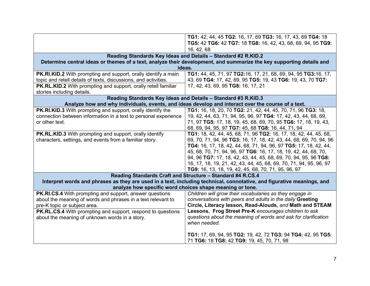|                                                                    | TG1: 42, 44, 45 TG2: 16, 17, 69 TG3: 16, 17, 43, 69 TG4: 18                                                            |
|--------------------------------------------------------------------|------------------------------------------------------------------------------------------------------------------------|
|                                                                    | TG5: 42 TG6: 42 TG7: 18 TG8: 16, 42, 43, 68, 69, 94, 95 TG9:                                                           |
|                                                                    | 16, 42, 68                                                                                                             |
|                                                                    | Reading Standards Key Ideas and Details - Standard #2 R.KID.2                                                          |
|                                                                    | Determine central ideas or themes of a text, analyze their development, and summarize the key supporting details and   |
|                                                                    | ideas.                                                                                                                 |
| PK.RI.KID.2 With prompting and support, orally identify a main     | TG1: 44, 45, 71, 97 TG2:16, 17, 21, 68, 69, 94, 95 TG3:16, 17,                                                         |
| topic and retell details of texts, discussions, and activities.    | 43, 69 TG4: 17, 42, 69, 95 TG5: 19, 43 TG6: 19, 43, 70 TG7:                                                            |
| PK.RL.KID.2 With prompting and support, orally retell familiar     | 17, 42, 43, 69, 95 TG8: 16, 17, 21                                                                                     |
| stories including details.                                         |                                                                                                                        |
|                                                                    | Reading Standards Key Ideas and Details - Standard #3 R.KID.3                                                          |
|                                                                    | Analyze how and why individuals, events, and ideas develop and interact over the course of a text.                     |
| PK.RI.KID.3 With prompting and support, orally identify the        | TG1: 16, 18, 20, 70 TG2: 21, 42, 44, 45, 70, 71, 96 TG3: 18,                                                           |
| connection between information in a text to personal experience    | 19, 42, 44, 63, 71, 94, 95, 96, 97 TG4: 17, 42, 43, 44, 68, 69,                                                        |
| or other text.                                                     | 71, 97 TG5: 17, 18, 19, 45, 68, 69, 70, 95 TG6: 17, 18, 19, 43,                                                        |
|                                                                    | 68, 69, 94, 95, 97 TG7: 45, 68 TG8: 16, 44, 71, 94                                                                     |
| <b>PK.RL.KID.3</b> With prompting and support, orally identify     | TG1: 18, 42, 44, 45, 68, 71, 96 TG2: 16, 17, 18, 42, 44, 45, 68,                                                       |
| characters, settings, and events from a familiar story.            | 69, 70, 71, 94, 96 TG3: 16, 17, 18, 42, 43, 44, 68, 69, 70, 94, 96                                                     |
|                                                                    | TG4: 16, 17, 18, 42, 44, 68, 71, 94, 96, 97 TG5: 17, 18, 42, 44,                                                       |
|                                                                    | 45, 68, 70, 71, 94, 96, 97 TG6: 16, 17, 18, 19, 42, 44, 68, 70,                                                        |
|                                                                    | 94, 96 TG7: 17, 18, 42, 43, 44, 45, 68, 69, 70, 94, 95, 96 TG8:                                                        |
|                                                                    | 16, 17, 18, 19, 21, 42, 43, 44, 45, 68, 69, 70, 71, 94, 95, 96, 97                                                     |
|                                                                    | TG9: 16, 13, 18, 19, 42, 45, 68, 70, 71, 95, 96, 97                                                                    |
|                                                                    | Reading Standards Craft and Structure - Standard #4 R.CS.4                                                             |
|                                                                    | Interpret words and phrases as they are used in a text, including technical, connotative, and figurative meanings, and |
|                                                                    | analyze how specific word choices shape meaning or tone.                                                               |
| PK.RI.CS.4 With prompting and support, answer questions            | Children will grow their vocabularies as they engage in                                                                |
| about the meaning of words and phrases in a text relevant to       | conversations with peers and adults in the daily Greeting                                                              |
| pre-K topic or subject area.                                       | Circle, Literacy lesson, Read-Alouds, and Math and STEAM                                                               |
| <b>PK.RL.CS.4</b> With prompting and support, respond to questions | Lessons. Frog Street Pre-K encourages children to ask                                                                  |
| about the meaning of unknown words in a story.                     | questions about the meaning of words and ask for clarification                                                         |
|                                                                    | when needed.                                                                                                           |
|                                                                    |                                                                                                                        |
|                                                                    | TG1: 17, 69, 94, 95 TG2: 19, 42, 72 TG3: 94 TG4: 42, 95 TG5:                                                           |
|                                                                    | 71 TG6: 18 TG8: 42 TG9: 19, 45, 70, 71, 98                                                                             |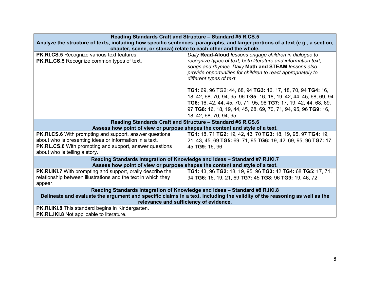| Reading Standards Craft and Structure - Standard #5 R.CS.5                                                                    |                                                                                                                           |  |
|-------------------------------------------------------------------------------------------------------------------------------|---------------------------------------------------------------------------------------------------------------------------|--|
| Analyze the structure of texts, including how specific sentences, paragraphs, and larger portions of a text (e.g., a section, |                                                                                                                           |  |
|                                                                                                                               | chapter, scene, or stanza) relate to each other and the whole.                                                            |  |
| PK.RI.CS.5 Recognize various text features.                                                                                   | Daily Read-Aloud lessons engage children in dialogue to                                                                   |  |
| <b>PK.RL.CS.5</b> Recognize common types of text.                                                                             | recognize types of text, both literature and information text,                                                            |  |
|                                                                                                                               | songs and rhymes. Daily Math and STEAM lessons also                                                                       |  |
|                                                                                                                               | provide opportunities for children to react appropriately to                                                              |  |
|                                                                                                                               | different types of text.                                                                                                  |  |
|                                                                                                                               | TG1: 69, 96 TG2: 44, 68, 94 TG3: 16, 17, 18, 70, 94 TG4: 16,                                                              |  |
|                                                                                                                               | 18, 42, 68, 70, 94, 95, 96 TG5: 16, 18, 19, 42, 44, 45, 68, 69, 94                                                        |  |
|                                                                                                                               | TG6: 16, 42, 44, 45, 70, 71, 95, 96 TG7: 17, 19, 42, 44, 68, 69,                                                          |  |
|                                                                                                                               | 97 TG8: 16, 18, 19, 44, 45, 68, 69, 70, 71, 94, 95, 96 TG9: 16,                                                           |  |
|                                                                                                                               | 18, 42, 68, 70, 94, 95                                                                                                    |  |
| Reading Standards Craft and Structure - Standard #6 R.CS.6                                                                    |                                                                                                                           |  |
| Assess how point of view or purpose shapes the content and style of a text.                                                   |                                                                                                                           |  |
| PK.RI.CS.6 With prompting and support, answer questions                                                                       | TG1: 18, 71 TG2: 19, 42, 43, 70 TG3: 18, 19, 95, 97 TG4: 19,                                                              |  |
| about who is presenting ideas or information in a text.                                                                       | 21, 43, 45, 69 TG5: 69, 71, 95 TG6: 19, 42, 69, 95, 96 TG7: 17,                                                           |  |
| <b>PK.RL.CS.6</b> With prompting and support, answer questions                                                                | 45 TG9: 16, 96                                                                                                            |  |
| about who is telling a story.                                                                                                 |                                                                                                                           |  |
|                                                                                                                               | Reading Standards Integration of Knowledge and Ideas - Standard #7 R.IKI.7                                                |  |
| Assess how point of view or purpose shapes the content and style of a text.                                                   |                                                                                                                           |  |
| <b>PK.RI.IKI.7</b> With prompting and support, orally describe the                                                            | TG1: 43, 96 TG2: 18, 19, 95, 96 TG3: 42 TG4: 68 TG5: 17, 71,                                                              |  |
| relationship between illustrations and the text in which they                                                                 | 94 TG6: 16, 19, 21, 69 TG7: 45 TG8: 96 TG9: 19, 46, 72                                                                    |  |
| appear.                                                                                                                       |                                                                                                                           |  |
| Reading Standards Integration of Knowledge and Ideas - Standard #8 R.IKI.8                                                    |                                                                                                                           |  |
|                                                                                                                               | Delineate and evaluate the argument and specific claims in a text, including the validity of the reasoning as well as the |  |
|                                                                                                                               | relevance and sufficiency of evidence.                                                                                    |  |
| <b>PK.RI.IKI.8</b> This standard begins in Kindergarten.                                                                      |                                                                                                                           |  |
| <b>PK.RL.IKI.8 Not applicable to literature.</b>                                                                              |                                                                                                                           |  |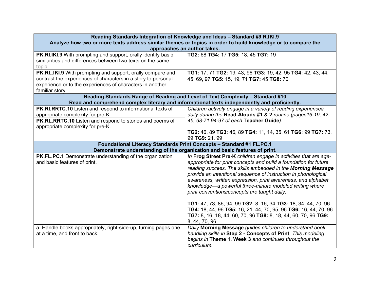|                                                                      | Reading Standards Integration of Knowledge and Ideas - Standard #9 R.IKI.9                                   |  |
|----------------------------------------------------------------------|--------------------------------------------------------------------------------------------------------------|--|
|                                                                      | Analyze how two or more texts address similar themes or topics in order to build knowledge or to compare the |  |
| approaches an author takes.                                          |                                                                                                              |  |
| <b>PK.RI.IKI.9</b> With prompting and support, orally identify basic | TG2: 68 TG4: 17 TG5: 18, 45 TG7: 19                                                                          |  |
| similarities and differences between two texts on the same           |                                                                                                              |  |
| topic.                                                               |                                                                                                              |  |
| <b>PK.RL.IKI.9</b> With prompting and support, orally compare and    | TG1: 17, 71 TG2: 19, 43, 96 TG3: 19, 42, 95 TG4: 42, 43, 44,                                                 |  |
| contrast the experiences of characters in a story to personal        | 45, 69, 97 TG5: 15, 19, 71 TG7: 45 TG8: 70                                                                   |  |
| experience or to the experiences of characters in another            |                                                                                                              |  |
| familiar story.                                                      |                                                                                                              |  |
|                                                                      | Reading Standards Range of Reading and Level of Text Complexity - Standard #10                               |  |
|                                                                      | Read and comprehend complex literary and informational texts independently and proficiently.                 |  |
| PK.RI.RRTC.10 Listen and respond to informational texts of           | Children actively engage in a variety of reading experiences                                                 |  |
| appropriate complexity for pre-K.                                    | daily during the Read-Alouds #1 & 2 routine (pages16-19, 42-                                                 |  |
| PK.RL.RRTC.10 Listen and respond to stories and poems of             | 45, 68-71 94-97 of each Teacher Guide).                                                                      |  |
| appropriate complexity for pre-K.                                    |                                                                                                              |  |
|                                                                      | TG2: 46, 89 TG3: 46, 89 TG4: 11, 14, 35, 61 TG6: 99 TG7: 73,                                                 |  |
|                                                                      | 99 TG9: 21, 99                                                                                               |  |
|                                                                      | Foundational Literacy Standards Print Concepts - Standard #1 FL.PC.1                                         |  |
|                                                                      | Demonstrate understanding of the organization and basic features of print.                                   |  |
| PK.FL.PC.1 Demonstrate understanding of the organization             | In Frog Street Pre-K children engage in activities that are age-                                             |  |
| and basic features of print.                                         |                                                                                                              |  |
|                                                                      | appropriate for print concepts and build a foundation for future                                             |  |
|                                                                      | reading success. The skills embedded in the Morning Message                                                  |  |
|                                                                      | provide an intentional sequence of instruction in phonological                                               |  |
|                                                                      | awareness, written expression, print awareness, and alphabet                                                 |  |
|                                                                      | knowledge-a powerful three-minute modeled writing where                                                      |  |
|                                                                      | print conventions/concepts are taught daily.                                                                 |  |
|                                                                      |                                                                                                              |  |
|                                                                      | TG1: 47, 73, 86, 94, 99 TG2: 8, 16, 34 TG3: 18, 34, 44, 70, 96                                               |  |
|                                                                      | TG4: 18, 44, 96 TG5: 16, 21, 44, 70, 95, 96 TG6: 16, 44, 70, 96                                              |  |
|                                                                      | TG7: 8, 16, 18, 44, 60, 70, 96 TG8: 8, 18, 44, 60, 70, 96 TG9:                                               |  |
|                                                                      | 8, 44, 70, 96                                                                                                |  |
| a. Handle books appropriately, right-side-up, turning pages one      | Daily Morning Message guides children to understand book                                                     |  |
| at a time, and front to back.                                        | handling skills in Step 2 - Concepts of Print. This modeling                                                 |  |
|                                                                      | begins in Theme 1, Week 3 and continues throughout the<br>curriculum.                                        |  |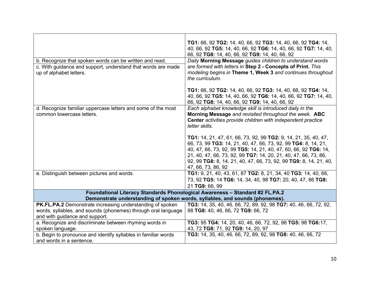|                                                                | TG1: 66, 92 TG2: 14, 40, 66, 92 TG3: 14, 40, 66, 92 TG4: 14,                  |
|----------------------------------------------------------------|-------------------------------------------------------------------------------|
|                                                                | 40, 66, 92 TG5: 14, 40, 66, 92 TG6: 14, 40, 66, 92 TG7: 14, 40,               |
|                                                                | 66, 92 TG8: 14, 40, 66, 92 TG9: 14, 40, 66, 92                                |
| b. Recognize that spoken words can be written and read.        | Daily Morning Message guides children to understand words                     |
| c. With guidance and support, understand that words are made   | are formed with letters in Step 2 - Concepts of Print. This                   |
| up of alphabet letters.                                        | modeling begins in Theme 1, Week 3 and continues throughout                   |
|                                                                | the curriculum.                                                               |
|                                                                | TG1: 66, 92 TG2: 14, 40, 66, 92 TG3: 14, 40, 66, 92 TG4: 14,                  |
|                                                                | 40, 66, 92 TG5: 14, 40, 66, 92 TG6: 14, 40, 66, 92 TG7: 14, 40,               |
|                                                                | 66, 92 TG8: 14, 40, 66, 92 TG9: 14, 40, 66, 92                                |
| d. Recognize familiar uppercase letters and some of the most   | Each alphabet knowledge skill is introduced daily in the                      |
| common lowercase letters.                                      | Morning Message and revisited throughout the week. ABC                        |
|                                                                | Center activities provide children with independent practice                  |
|                                                                | letter skills.                                                                |
|                                                                | <b>TG1:</b> 14, 21, 47, 61, 66, 73, 92, 99 <b>TG2:</b> 9, 14, 21, 35, 40, 47, |
|                                                                | 66, 73, 99 TG3: 14, 21, 40, 47, 66, 73, 92, 99 TG4: 8, 14, 21,                |
|                                                                | 40, 47, 66, 73, 92, 99 TG5: 14, 21, 40, 47, 60, 66, 92 TG6: 14,               |
|                                                                | 21, 40, 47, 66, 73, 92, 99 TG7: 14, 20, 21, 40, 47, 66, 73, 86,               |
|                                                                | 92, 99 TG8: 8, 14, 21, 40, 47, 66, 73, 92, 99 TG9: 8, 14, 21, 40,             |
|                                                                | 47, 66, 73, 86, 92                                                            |
| e. Distinguish between pictures and words.                     | TG1: 9, 21, 40, 43, 61, 87 TG2: 8, 21, 34, 40 TG3: 14, 40, 66,                |
|                                                                | 73, 92 TG5: 14 TG6: 14, 34, 40, 98 TG7: 20, 40, 47, 86 TG8:                   |
|                                                                | 21 TG9: 66, 99                                                                |
|                                                                | Foundational Literacy Standards Phonological Awareness - Standard #2 FL.PA.2  |
|                                                                | Demonstrate understanding of spoken words, syllables, and sounds (phonemes).  |
| PK.FL.PA.2 Demonstrate increasing understanding of spoken      | TG3: 14, 35, 40, 46, 66, 72, 89, 92, 98 TG7: 40, 46, 66, 72, 92,              |
| words, syllables, and sounds (phonemes) through oral language  | 98 TG8: 40, 46, 66, 72 TG9: 66, 72                                            |
| and with guidance and support.                                 |                                                                               |
| a. Recognize and discriminate between rhyming words in         | TG3: 95 TG4: 14, 20, 40, 46, 66, 72, 92, 98 TG5: 98 TG6:17,                   |
| spoken language.                                               | 43, 72 TG8: 71, 92 TG9: 14, 20, 97                                            |
| b. Begin to pronounce and identify syllables in familiar words | TG3: 14, 35, 40, 46, 66, 72, 89, 92, 98 TG8: 40, 46, 66, 72                   |
| and words in a sentence.                                       |                                                                               |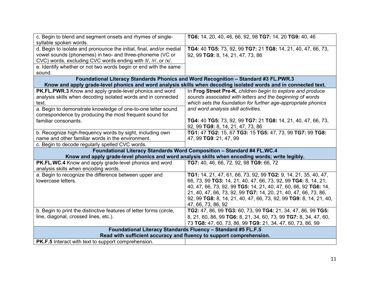| c. Begin to blend and segment onsets and rhymes of single-<br>syllable spoken words.                                                                                                                                                                                                 | TG6: 14, 20, 40, 46, 66, 92, 98 TG7: 14, 20 TG9: 40, 46                                                                                                                                                                                                                                                                                                            |  |
|--------------------------------------------------------------------------------------------------------------------------------------------------------------------------------------------------------------------------------------------------------------------------------------|--------------------------------------------------------------------------------------------------------------------------------------------------------------------------------------------------------------------------------------------------------------------------------------------------------------------------------------------------------------------|--|
| d. Begin to isolate and pronounce the initial, final, and/or medial<br>vowel sounds (phonemes) in two- and three-phoneme (VC or<br>CVC) words, excluding CVC words ending with /l/, /r/, or /x/.<br>e. Identify whether or not two words begin or end with the same<br>sound.        | TG4: 40 TG5: 73, 92, 99 TG7: 21 TG8: 14, 21, 40, 47, 66, 73,<br>92, 99 TG9: 8, 14, 21, 47, 73, 86                                                                                                                                                                                                                                                                  |  |
|                                                                                                                                                                                                                                                                                      | Foundational Literacy Standards Phonics and Word Recognition - Standard #3 FL.PWR.3<br>Know and apply grade-level phonics and word analysis skills when decoding isolated words and in connected text.                                                                                                                                                             |  |
| PK.FL.PWR.3 Know and apply grade-level phonics and word<br>analysis skills when decoding isolated words and in connected<br>text.<br>a. Begin to demonstrate knowledge of one-to-one letter sound<br>correspondence by producing the most frequent sound for<br>familiar consonants. | In Frog Street Pre-K, children begin to explore and produce<br>sounds associated with letters and the beginning of words<br>which sets the foundation for further age-appropriate phonics<br>and word analysis skill activities.<br>TG4: 40 TG5: 73, 92, 99 TG7: 21 TG8: 14, 21, 40, 47, 66, 73,                                                                   |  |
| b. Recognize high-frequency words by sight, including own<br>name and other familiar words in the environment.<br>c. Begin to decode regularly spelled CVC words.                                                                                                                    | 92, 99 TG9: 8, 14, 21, 47, 73, 86<br>TG1: 47 TG2: 15, 67 TG3: 15 TG5: 47, 73, 99 TG7: 99 TG8:<br>47, 99 TG9: 21, 47, 99                                                                                                                                                                                                                                            |  |
|                                                                                                                                                                                                                                                                                      | Foundational Literacy Standards Word Composition - Standard #4 FL.WC.4                                                                                                                                                                                                                                                                                             |  |
| Know and apply grade-level phonics and word analysis skills when encoding words; write legibly.                                                                                                                                                                                      |                                                                                                                                                                                                                                                                                                                                                                    |  |
| PK.FL.WC.4 Know and apply grade-level phonics and word<br>analysis skills when encoding words.                                                                                                                                                                                       | TG7: 40, 46, 66, 72, 92, 98 TG9: 66, 72                                                                                                                                                                                                                                                                                                                            |  |
| a. Begin to recognize the difference between upper and<br>lowercase letters.                                                                                                                                                                                                         | TG1: 14, 21, 47, 61, 66, 73, 92, 99 TG2: 9, 14, 21, 35, 40, 47,<br>66, 73, 99 TG3: 14, 21, 40, 47, 66, 73, 92, 99 TG4: 8, 14, 21,<br>40, 47, 66, 73, 92, 99 TG5: 14, 21, 40, 47, 60, 66, 92 TG6: 14,<br>21, 40, 47, 66, 73, 92, 99 TG7: 14, 20, 21, 40, 47, 66, 73, 86,<br>92, 99 TG8: 8, 14, 21, 40, 47, 66, 73, 92, 99 TG9: 8, 14, 21, 40,<br>47, 66, 73, 86, 92 |  |
| b. Begin to print the distinctive features of letter forms (circle,<br>line, diagonal, crossed lines, etc.).                                                                                                                                                                         | TG2: 47, 86, 99 TG3: 60, 73, 99 TG4: 21, 34, 47, 86, 99 TG5:<br>8, 21, 60, 86, 99 TG6: 8, 21, 34, 60, 73, 99 TG7: 8, 34, 47, 60,<br>73 TG8: 47, 60, 73, 86, 99 TG9: 21, 34, 47, 60, 73, 86, 99                                                                                                                                                                     |  |
| Foundational Literacy Standards Fluency - Standard #5 FL.F.5<br>Read with sufficient accuracy and fluency to support comprehension.                                                                                                                                                  |                                                                                                                                                                                                                                                                                                                                                                    |  |
| <b>PK.F.5</b> Interact with text to support comprehension.                                                                                                                                                                                                                           |                                                                                                                                                                                                                                                                                                                                                                    |  |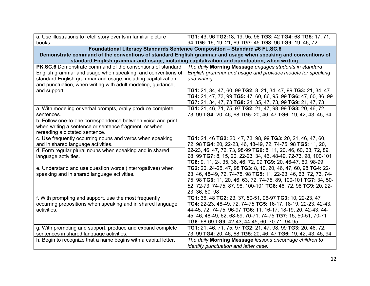| a. Use illustrations to retell story events in familiar picture<br>books.                                                                                                                                                                                 | TG1: 43, 96 TG2:18, 19, 95, 96 TG3: 42 TG4: 68 TG5: 17, 71,<br>94 TG6: 16, 19, 21, 69 TG7: 45 TG8: 96 TG9: 19, 46, 72                                                                                                                                                                                        |
|-----------------------------------------------------------------------------------------------------------------------------------------------------------------------------------------------------------------------------------------------------------|--------------------------------------------------------------------------------------------------------------------------------------------------------------------------------------------------------------------------------------------------------------------------------------------------------------|
| Foundational Literacy Standards Sentence Composition - Standard #6 FL.SC.6<br>Demonstrate command of the conventions of standard English grammar and usage when speaking and conventions of                                                               |                                                                                                                                                                                                                                                                                                              |
|                                                                                                                                                                                                                                                           | standard English grammar and usage, including capitalization and punctuation, when writing.                                                                                                                                                                                                                  |
| PK.SC.6 Demonstrate command of the conventions of standard<br>English grammar and usage when speaking, and conventions of<br>standard English grammar and usage, including capitalization<br>and punctuation, when writing with adult modeling, guidance, | The daily Morning Message engages students in standard<br>English grammar and usage and provides models for speaking<br>and writing.                                                                                                                                                                         |
| and support.                                                                                                                                                                                                                                              | TG1: 21, 34, 47, 60, 99 TG2: 8, 21, 34, 47, 99 TG3: 21, 34, 47<br>TG4: 21, 47, 73, 99 TG5: 47, 60, 86, 95, 99 TG6: 47, 60, 86, 99<br>TG7: 21, 34, 47, 73 TG8: 21, 35, 47, 73, 99 TG9: 21, 47, 73                                                                                                             |
| a. With modeling or verbal prompts, orally produce complete<br>sentences.                                                                                                                                                                                 | TG1: 21, 46, 71, 75, 97 TG2: 21, 47, 98, 99 TG3: 20, 46, 72,<br>73, 99 TG4: 20, 46, 68 TG5: 20, 46, 47 TG6: 19, 42, 43, 45, 94                                                                                                                                                                               |
| b. Follow one-to-one correspondence between voice and print<br>when writing a sentence or sentence fragment, or when<br>rereading a dictated sentence.                                                                                                    |                                                                                                                                                                                                                                                                                                              |
| c. Use frequently occurring nouns and verbs when speaking<br>and in shared language activities.                                                                                                                                                           | TG1: 24, 46 TG2: 20, 47, 73, 98, 99 TG3: 20, 21, 46, 47, 60,<br>72, 98 TG4: 20, 22-23, 46, 48-49, 72, 74-75, 98 TG5: 11, 20,                                                                                                                                                                                 |
| d. Form regular plural nouns when speaking and in shared<br>language activities.                                                                                                                                                                          | 22-23, 46, 47, 72, 73, 98-99 TG6: 8, 11, 20, 46, 60, 63, 72, 89,<br>98, 99 TG7: 8, 15, 20, 22-23, 34, 46, 48-49, 72-73, 98, 100-101<br>TG8: 9, 11, 2-, 35, 36, 46, 72, 99 TG9: 20, 46-47, 60, 98-99                                                                                                          |
| e. Understand and use question words (interrogatives) when<br>speaking and in shared language activities.                                                                                                                                                 | TG2: 20, 24-25, 47, 98 TG3: 8, 10, 20, 46, 47, 60, 98 TG4: 22-<br>23, 46, 48-49, 72, 74-75, 98 TG5: 11, 22-23, 46, 63, 72, 73, 74-<br>75, 98 TG6: 11, 20, 46, 63, 72, 74-75, 89, 100-101 TG7: 34, 50-<br>52, 72-73, 74-75, 87, 98, 100-101 TG8: 46, 72, 98 TG9: 20, 22-<br>23, 36, 60, 98                    |
| f. With prompting and support, use the most frequently<br>occurring prepositions when speaking and in shared language<br>activities.                                                                                                                      | TG1: 36, 48 TG2: 23, 37, 50-51, 96-97 TG3: 10, 22-23, 47<br>TG4: 22-23, 48-49, 72, 74-75 TG5: 16-17, 18-19, 22-23, 42-43,<br>44-45, 72, 74-75, 96-97 TG6: 11, 16-17, 18-19, 20, 42-43, 44-<br>45, 46, 48-49, 62, 68-69, 70-71, 74-75 TG7: 15, 50-51, 70-71<br>TG8: 68-69 TG9: 42-43, 44-45, 60, 70-71, 94-95 |
| g. With prompting and support, produce and expand complete<br>sentences in shared language activities.                                                                                                                                                    | TG1: 21, 46, 71, 75, 97 TG2: 21, 47, 98, 99 TG3: 20, 46, 72,<br>73, 99 TG4: 20, 46, 68 TG5: 20, 46, 47 TG6: 19, 42, 43, 45, 94                                                                                                                                                                               |
| h. Begin to recognize that a name begins with a capital letter.                                                                                                                                                                                           | The daily Morning Message lessons encourage children to<br>identify punctuation and letter case.                                                                                                                                                                                                             |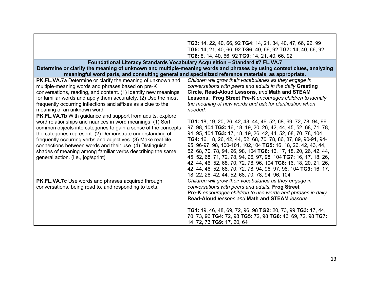|                                                                | TG3: 14, 22, 40, 66, 92 TG4: 14, 21, 34, 40, 47, 66, 92, 99                                                          |
|----------------------------------------------------------------|----------------------------------------------------------------------------------------------------------------------|
|                                                                | TG5: 14, 21, 40, 66, 92 TG6: 40, 66, 92 TG7: 14, 40, 66, 92                                                          |
|                                                                | TG8: 8, 14, 40, 66, 92 TG9: 14, 21, 40, 66, 92                                                                       |
|                                                                | Foundational Literacy Standards Vocabulary Acquisition - Standard #7 FL.VA.7                                         |
|                                                                | Determine or clarify the meaning of unknown and multiple-meaning words and phrases by using context clues, analyzing |
|                                                                | meaningful word parts, and consulting general and specialized reference materials, as appropriate.                   |
| PK.FL.VA.7a Determine or clarify the meaning of unknown and    | Children will grow their vocabularies as they engage in                                                              |
| multiple-meaning words and phrases based on pre-K              | conversations with peers and adults in the daily Greeting                                                            |
| conversations, reading, and content. (1) Identify new meanings | Circle, Read-Aloud Lessons, and Math and STEAM                                                                       |
| for familiar words and apply them accurately. (2) Use the most | Lessons. Frog Street Pre-K encourages children to identify                                                           |
| frequently occurring inflections and affixes as a clue to the  | the meaning of new words and ask for clarification when                                                              |
| meaning of an unknown word.                                    | needed.                                                                                                              |
| PK.FL.VA.7b With guidance and support from adults, explore     |                                                                                                                      |
| word relationships and nuances in word meanings. (1) Sort      | <b>TG1:</b> 18, 19, 20, 26, 42, 43, 44, 46, 52, 68, 69, 72, 78, 94, 96,                                              |
| common objects into categories to gain a sense of the concepts | 97, 98, 104 TG2: 16, 18, 19, 20, 26, 42, 44, 45, 52, 68, 71, 78,                                                     |
| the categories represent. (2) Demonstrate understanding of     | 94, 95, 104 TG3: 17, 18, 19, 26, 42, 44, 52, 68, 70, 78, 104                                                         |
| frequently occurring verbs and adjectives. (3) Make real-life  | TG4: 16, 18, 26, 42, 44, 52, 68, 70, 78, 86, 87, 89, 90-91, 94-                                                      |
| connections between words and their use. (4) Distinguish       | 95, 96-97, 98, 100-101, 102, 104 TG5: 16, 18, 26, 42, 43, 44,                                                        |
| shades of meaning among familiar verbs describing the same     | 52, 68, 70, 78, 94, 96, 98, 104 TG6: 16, 17, 18, 20, 26, 42, 44,                                                     |
| general action. (i.e., jog/sprint)                             | 45, 52, 68, 71, 72, 78, 94, 96, 97, 98, 104 TG7: 16, 17, 18, 26,                                                     |
|                                                                | 42, 44, 46, 52, 68, 70, 72, 78, 96, 104 TG8: 16, 18, 20, 21, 26,                                                     |
|                                                                | 42, 44, 46, 52, 68, 70, 72, 78, 94, 96, 97, 98, 104 TG9: 16, 17,                                                     |
|                                                                | 18, 22, 26, 42, 44, 52, 68, 70, 78, 94, 96, 104                                                                      |
| PK.FL.VA.7c Use words and phrases acquired through             | Children will grow their vocabularies as they engage in                                                              |
| conversations, being read to, and responding to texts.         | conversations with peers and adults. Frog Street                                                                     |
|                                                                | Pre-K encourages children to use words and phrases in daily                                                          |
|                                                                | Read-Aloud lessons and Math and STEAM lessons.                                                                       |
|                                                                |                                                                                                                      |
|                                                                | TG1: 19, 46, 48, 69, 72, 96, 98 TG2: 20, 73, 99 TG3: 17, 44,                                                         |
|                                                                | 70, 73, 96 TG4: 72, 98 TG5: 72, 98 TG6: 46, 69, 72, 98 TG7:                                                          |
|                                                                | 14, 72, 73 TG9: 17, 20, 64                                                                                           |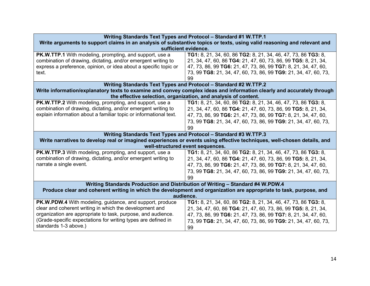| Writing Standards Text Types and Protocol - Standard #1 W.TTP.1                                                         |                                                                                                                         |  |
|-------------------------------------------------------------------------------------------------------------------------|-------------------------------------------------------------------------------------------------------------------------|--|
| Write arguments to support claims in an analysis of substantive topics or texts, using valid reasoning and relevant and |                                                                                                                         |  |
| sufficient evidence.                                                                                                    |                                                                                                                         |  |
| PK.W.TTP.1 With modeling, prompting, and support, use a                                                                 | TG1: 8, 21, 34, 60, 86 TG2: 8, 21, 34, 46, 47, 73, 86 TG3: 8,                                                           |  |
| combination of drawing, dictating, and/or emergent writing to                                                           | 21, 34, 47, 60, 86 TG4: 21, 47, 60, 73, 86, 99 TG5: 8, 21, 34,                                                          |  |
| express a preference, opinion, or idea about a specific topic or                                                        | 47, 73, 86, 99 TG6: 21, 47, 73, 86, 99 TG7: 8, 21, 34, 47, 60,                                                          |  |
| text.                                                                                                                   | 73, 99 TG8: 21, 34, 47, 60, 73, 86, 99 TG9: 21, 34, 47, 60, 73,<br>99                                                   |  |
|                                                                                                                         | Writing Standards Text Types and Protocol - Standard #2 W.TTP.2                                                         |  |
|                                                                                                                         | Write information/explanatory texts to examine and convey complex ideas and information clearly and accurately through  |  |
| the effective selection, organization, and analysis of content.                                                         |                                                                                                                         |  |
| <b>PK.W.TTP.2</b> With modeling, prompting, and support, use a                                                          | TG1: 8, 21, 34, 60, 86 TG2: 8, 21, 34, 46, 47, 73, 86 TG3: 8,                                                           |  |
| combination of drawing, dictating, and/or emergent writing to                                                           | 21, 34, 47, 60, 86 TG4: 21, 47, 60, 73, 86, 99 TG5: 8, 21, 34,                                                          |  |
| explain information about a familiar topic or informational text.                                                       | 47, 73, 86, 99 TG6: 21, 47, 73, 86, 99 TG7: 8, 21, 34, 47, 60,                                                          |  |
|                                                                                                                         | 73, 99 TG8: 21, 34, 47, 60, 73, 86, 99 TG9: 21, 34, 47, 60, 73,                                                         |  |
|                                                                                                                         | 99                                                                                                                      |  |
|                                                                                                                         | Writing Standards Text Types and Protocol - Standard #3 W.TTP.3                                                         |  |
|                                                                                                                         | Write narratives to develop real or imagined experiences or events using effective techniques, well-chosen details, and |  |
| well-structured event sequences.                                                                                        |                                                                                                                         |  |
| PK.W.TTP.3 With modeling, prompting, and support, use a                                                                 | TG1: 8, 21, 34, 60, 86 TG2: 8, 21, 34, 46, 47, 73, 86 TG3: 8,                                                           |  |
| combination of drawing, dictating, and/or emergent writing to                                                           | 21, 34, 47, 60, 86 TG4: 21, 47, 60, 73, 86, 99 TG5: 8, 21, 34,                                                          |  |
| narrate a single event.                                                                                                 | 47, 73, 86, 99 TG6: 21, 47, 73, 86, 99 TG7: 8, 21, 34, 47, 60,                                                          |  |
|                                                                                                                         | 73, 99 TG8: 21, 34, 47, 60, 73, 86, 99 TG9: 21, 34, 47, 60, 73,                                                         |  |
|                                                                                                                         | 99                                                                                                                      |  |
| Writing Standards Production and Distribution of Writing - Standard #4 W.PDW.4                                          |                                                                                                                         |  |
| Produce clear and coherent writing in which the development and organization are appropriate to task, purpose, and      |                                                                                                                         |  |
| audience.                                                                                                               |                                                                                                                         |  |
| PK.W.PDW.4 With modeling, guidance, and support, produce                                                                | TG1: 8, 21, 34, 60, 86 TG2: 8, 21, 34, 46, 47, 73, 86 TG3: 8,                                                           |  |
| clear and coherent writing in which the development and                                                                 | 21, 34, 47, 60, 86 TG4: 21, 47, 60, 73, 86, 99 TG5: 8, 21, 34,                                                          |  |
| organization are appropriate to task, purpose, and audience.                                                            | 47, 73, 86, 99 TG6: 21, 47, 73, 86, 99 TG7: 8, 21, 34, 47, 60,                                                          |  |
| (Grade-specific expectations for writing types are defined in                                                           | 73, 99 TG8: 21, 34, 47, 60, 73, 86, 99 TG9: 21, 34, 47, 60, 73,                                                         |  |
| standards 1-3 above.)                                                                                                   | 99                                                                                                                      |  |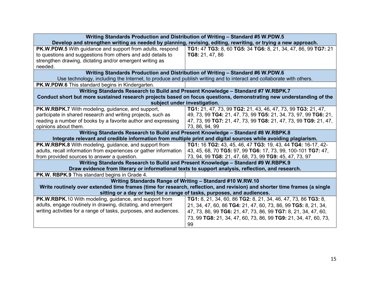|                                                                                                                           | Writing Standards Production and Distribution of Writing - Standard #5 W.PDW.5                                      |  |
|---------------------------------------------------------------------------------------------------------------------------|---------------------------------------------------------------------------------------------------------------------|--|
|                                                                                                                           | Develop and strengthen writing as needed by planning, revising, editing, rewriting, or trying a new approach.       |  |
| <b>PK.W.PDW.5</b> With guidance and support from adults, respond                                                          | TG1: 47 TG3: 8, 60 TG5: 34 TG6: 8, 21, 34, 47, 86, 99 TG7: 21                                                       |  |
| to questions and suggestions from others and add details to                                                               | TG8: 21, 47, 86                                                                                                     |  |
| strengthen drawing, dictating and/or emergent writing as                                                                  |                                                                                                                     |  |
| needed.                                                                                                                   |                                                                                                                     |  |
| Writing Standards Production and Distribution of Writing - Standard #6 W.PDW.6                                            |                                                                                                                     |  |
|                                                                                                                           | Use technology, including the Internet, to produce and publish writing and to interact and collaborate with others. |  |
| <b>PK.W.PDW.6</b> This standard begins in Kindergarten.                                                                   |                                                                                                                     |  |
|                                                                                                                           | Writing Standards Research to Build and Present Knowledge - Standard #7 W.RBPK.7                                    |  |
|                                                                                                                           | Conduct short but more sustained research projects based on focus questions, demonstrating new understanding of the |  |
| subject under investigation.                                                                                              |                                                                                                                     |  |
| PK.W.RBPK.7 With modeling, guidance, and support,                                                                         | TG1: 21, 47, 73, 99 TG2: 21, 43, 46, 47, 73, 99 TG3: 21, 47,                                                        |  |
| participate in shared research and writing projects, such as                                                              | 49, 73, 99 TG4: 21, 47, 73, 99 TG5: 21, 34, 73, 97, 99 TG6: 21,                                                     |  |
| reading a number of books by a favorite author and expressing                                                             | 47, 73, 99 TG7: 21, 47, 73, 99 TG8: 21, 47, 73, 99 TG9: 21, 47,                                                     |  |
| opinions about them.                                                                                                      | 73, 86, 94, 99                                                                                                      |  |
|                                                                                                                           | Writing Standards Research to Build and Present Knowledge - Standard #8 W.RBPK.8                                    |  |
| Integrate relevant and credible information from multiple print and digital sources while avoiding plagiarism.            |                                                                                                                     |  |
| PK.W.RBPK.8 With modeling, guidance, and support from                                                                     | TG1: 16 TG2: 43, 45, 46, 47 TG3: 19, 43, 44 TG4: 16-17, 42-                                                         |  |
| adults, recall information from experiences or gather information                                                         | 43, 45, 68, 70 TG5: 97, 99 TG6: 17, 73, 99, 100-101 TG7: 47,                                                        |  |
| from provided sources to answer a question.                                                                               | 73, 94, 99 TG8: 21, 47, 68, 73, 99 TG9: 45, 47, 73, 97                                                              |  |
| Writing Standards Research to Build and Present Knowledge - Standard #9 W.RBPK.9                                          |                                                                                                                     |  |
|                                                                                                                           | Draw evidence from literary or informational texts to support analysis, reflection, and research.                   |  |
| <b>PK.W. RBPK.9</b> This standard begins in Grade 4.                                                                      |                                                                                                                     |  |
| Writing Standards Range of Writing - Standard #10 W.RW.10                                                                 |                                                                                                                     |  |
| Write routinely over extended time frames (time for research, reflection, and revision) and shorter time frames (a single |                                                                                                                     |  |
| sitting or a day or two) for a range of tasks, purposes, and audiences.                                                   |                                                                                                                     |  |
| <b>PK.W.RBPK.10 With modeling, guidance, and support from</b>                                                             | TG1: 8, 21, 34, 60, 86 TG2: 8, 21, 34, 46, 47, 73, 86 TG3: 8,                                                       |  |
| adults, engage routinely in drawing, dictating, and emergent                                                              | 21, 34, 47, 60, 86 TG4: 21, 47, 60, 73, 86, 99 TG5: 8, 21, 34,                                                      |  |
| writing activities for a range of tasks, purposes, and audiences.                                                         | 47, 73, 86, 99 TG6: 21, 47, 73, 86, 99 TG7: 8, 21, 34, 47, 60,                                                      |  |
|                                                                                                                           | 73, 99 TG8: 21, 34, 47, 60, 73, 86, 99 TG9: 21, 34, 47, 60, 73,                                                     |  |
|                                                                                                                           | 99                                                                                                                  |  |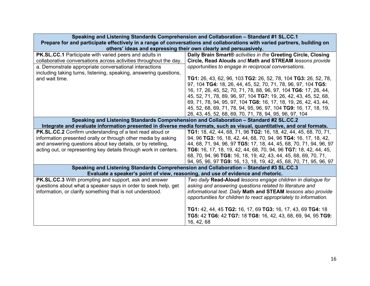| Speaking and Listening Standards Comprehension and Collaboration - Standard #1 SL.CC.1<br>Prepare for and participate effectively in a range of conversations and collaborations with varied partners, building on<br>others' ideas and expressing their own clearly and persuasively. |                                                                                                                                                                                                                                                                                                                                                                                                                                                                                                                                                                                                     |  |
|----------------------------------------------------------------------------------------------------------------------------------------------------------------------------------------------------------------------------------------------------------------------------------------|-----------------------------------------------------------------------------------------------------------------------------------------------------------------------------------------------------------------------------------------------------------------------------------------------------------------------------------------------------------------------------------------------------------------------------------------------------------------------------------------------------------------------------------------------------------------------------------------------------|--|
| <b>PK.SL.CC.1</b> Participate with varied peers and adults in<br>collaborative conversations across activities throughout the day.<br>a. Demonstrate appropriate conversational interactions<br>including taking turns, listening, speaking, answering questions,<br>and wait time.    | Daily Brain Smart® activities in the Greeting Circle, Closing<br>Circle, Read Alouds and Math and STREAM lessons provide<br>opportunities to engage in reciprocal conversations.<br>TG1: 26, 43, 62, 96, 103 TG2: 26, 52, 78, 104 TG3: 26, 52, 78,<br>97, 104 TG4: 18, 26, 44, 45, 52, 70, 71, 78, 96, 97, 104 TG5:<br>16, 17, 26, 45, 52, 70, 71, 78, 88, 96, 97, 104 TG6: 17, 26, 44,<br>45, 52, 71, 78, 89, 96, 97, 104 TG7: 19, 26, 42, 43, 45, 52, 68,<br>69, 71, 78, 94, 95, 97, 104 TG8: 16, 17, 18, 19, 26, 42, 43, 44,<br>45, 52, 68, 69, 71, 78, 94, 95, 96, 97, 104 TG9: 16, 17, 18, 19, |  |
| 26, 43, 45, 52, 68, 69, 70, 71, 78, 94, 95, 96, 97, 104<br>Speaking and Listening Standards Comprehension and Collaboration - Standard #2 SL.CC.2                                                                                                                                      |                                                                                                                                                                                                                                                                                                                                                                                                                                                                                                                                                                                                     |  |
|                                                                                                                                                                                                                                                                                        | Integrate and evaluate information presented in diverse media formats, such as visual, quantitative, and oral formats.                                                                                                                                                                                                                                                                                                                                                                                                                                                                              |  |
| PK.SL.CC.2 Confirm understanding of a text read aloud or<br>information presented orally or through other media by asking<br>and answering questions about key details, or by retelling,<br>acting out, or representing key details through work in centers.                           | TG1: 18, 42, 44, 68, 71, 96 TG2: 16, 18, 42, 44, 45, 68, 70, 71,<br>94, 96 TG3: 16, 18, 42, 44, 68, 70, 94, 96 TG4: 16, 17, 18, 42,<br>44, 68, 71, 94, 96, 97 TG5: 17, 18, 44, 45, 68, 70, 71, 94, 96, 97<br>TG6: 16, 17, 18, 19, 42, 44, 68, 70, 94, 96 TG7: 18, 42, 44, 45,<br>68, 70, 94, 96 TG8: 16, 18, 19, 42, 43, 44, 45, 68, 69, 70, 71,<br>94, 95, 96, 97 TG9: 16, 13, 18, 19, 42, 45, 68, 70, 71, 95, 96, 97                                                                                                                                                                              |  |
|                                                                                                                                                                                                                                                                                        | Speaking and Listening Standards Comprehension and Collaboration - Standard #3 SL.CC.3                                                                                                                                                                                                                                                                                                                                                                                                                                                                                                              |  |
|                                                                                                                                                                                                                                                                                        | Evaluate a speaker's point of view, reasoning, and use of evidence and rhetoric.                                                                                                                                                                                                                                                                                                                                                                                                                                                                                                                    |  |
| <b>PK.SL.CC.3</b> With prompting and support, ask and answer<br>questions about what a speaker says in order to seek help, get<br>information, or clarify something that is not understood.                                                                                            | Two daily Read-Aloud lessons engage children in dialogue for<br>asking and answering questions related to literature and<br>informational text. Daily Math and STEAM lessons also provide<br>opportunities for children to react appropriately to information.<br>TG1: 42, 44, 45 TG2: 16, 17, 69 TG3: 16, 17, 43, 69 TG4: 18<br>TG5: 42 TG6: 42 TG7: 18 TG8: 16, 42, 43, 68, 69, 94, 95 TG9:<br>16, 42, 68                                                                                                                                                                                         |  |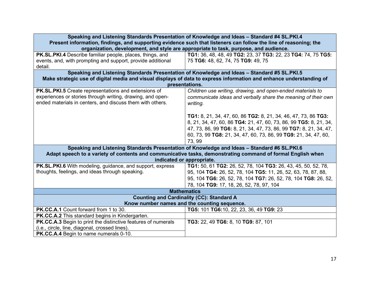| Speaking and Listening Standards Presentation of Knowledge and Ideas - Standard #4 SL.PKI.4<br>Present information, findings, and supporting evidence such that listeners can follow the line of reasoning; the<br>organization, development, and style are appropriate to task, purpose, and audience. |                                                                                                                                                                                                                                                                                       |
|---------------------------------------------------------------------------------------------------------------------------------------------------------------------------------------------------------------------------------------------------------------------------------------------------------|---------------------------------------------------------------------------------------------------------------------------------------------------------------------------------------------------------------------------------------------------------------------------------------|
| PK.SL.PKI.4 Describe familiar people, places, things, and<br>events, and, with prompting and support, provide additional<br>detail.                                                                                                                                                                     | TG1: 36, 48, 48, 49 TG2: 23, 37 TG3: 22, 23 TG4: 74, 75 TG5:<br>75 TG6: 48, 62, 74, 75 TG9: 49, 75                                                                                                                                                                                    |
|                                                                                                                                                                                                                                                                                                         | Speaking and Listening Standards Presentation of Knowledge and Ideas - Standard #5 SL.PKI.5                                                                                                                                                                                           |
|                                                                                                                                                                                                                                                                                                         | Make strategic use of digital media and visual displays of data to express information and enhance understanding of                                                                                                                                                                   |
|                                                                                                                                                                                                                                                                                                         | presentations.                                                                                                                                                                                                                                                                        |
| PK.SL.PKI.5 Create representations and extensions of<br>experiences or stories through writing, drawing, and open-<br>ended materials in centers, and discuss them with others.                                                                                                                         | Children use writing, drawing, and open-ended materials to<br>communicate ideas and verbally share the meaning of their own<br>writing.                                                                                                                                               |
|                                                                                                                                                                                                                                                                                                         | TG1: 8, 21, 34, 47, 60, 86 TG2: 8, 21, 34, 46, 47, 73, 86 TG3:<br>8, 21, 34, 47, 60, 86 TG4: 21, 47, 60, 73, 86, 99 TG5: 8, 21, 34,<br>47, 73, 86, 99 TG6: 8, 21, 34, 47, 73, 86, 99 TG7: 8, 21, 34, 47,<br>60, 73, 99 TG8: 21, 34, 47, 60, 73, 86, 99 TG9: 21, 34, 47, 60,<br>73, 99 |
| Speaking and Listening Standards Presentation of Knowledge and Ideas - Standard #6 SL.PKI.6                                                                                                                                                                                                             |                                                                                                                                                                                                                                                                                       |
| Adapt speech to a variety of contents and communicative tasks, demonstrating command of formal English when                                                                                                                                                                                             |                                                                                                                                                                                                                                                                                       |
|                                                                                                                                                                                                                                                                                                         | indicated or appropriate.                                                                                                                                                                                                                                                             |
| <b>PK.SL.PKI.6</b> With modeling, guidance, and support, express<br>thoughts, feelings, and ideas through speaking.                                                                                                                                                                                     | TG1: 50, 61 TG2: 26, 52, 78, 104 TG3: 26, 43, 45, 50, 52, 78,<br>95, 104 TG4: 26, 52, 78, 104 TG5: 11, 26, 52, 63, 78, 87, 88,<br>95, 104 TG6: 26, 52, 78, 104 TG7: 26, 52, 78, 104 TG8: 26, 52,<br>78, 104 TG9: 17, 18, 26, 52, 78, 97, 104                                          |
|                                                                                                                                                                                                                                                                                                         | <b>Mathematics</b>                                                                                                                                                                                                                                                                    |
|                                                                                                                                                                                                                                                                                                         | <b>Counting and Cardinality (CC): Standard A</b>                                                                                                                                                                                                                                      |
| Know number names and the counting sequence.                                                                                                                                                                                                                                                            |                                                                                                                                                                                                                                                                                       |
| PK.CC.A.1 Count forward from 1 to 30.                                                                                                                                                                                                                                                                   | TG5: 101 TG6:10, 22, 23, 36, 49 TG9: 23                                                                                                                                                                                                                                               |
| PK.CC.A.2 This standard begins in Kindergarten.                                                                                                                                                                                                                                                         |                                                                                                                                                                                                                                                                                       |
| PK.CC.A.3 Begin to print the distinctive features of numerals<br>(i.e., circle, line, diagonal, crossed lines).<br>PK.CC.A.4 Begin to name numerals 0-10.                                                                                                                                               | TG3: 22, 49 TG6: 8, 10 TG9: 87, 101                                                                                                                                                                                                                                                   |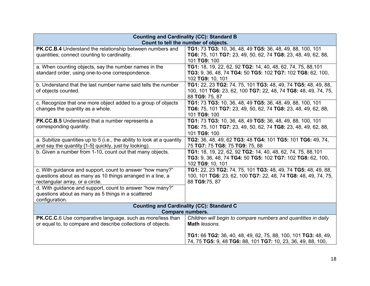| <b>Counting and Cardinality (CC): Standard B</b><br>Count to tell the number of objects. |                                                                |
|------------------------------------------------------------------------------------------|----------------------------------------------------------------|
|                                                                                          |                                                                |
| PK.CC.B.4 Understand the relationship between numbers and                                | TG1: 73 TG3: 10, 36, 48, 49 TG5: 36, 48, 49, 88, 100, 101      |
| quantities; connect counting to cardinality.                                             | TG6: 75, 101 TG7: 23, 49, 50, 62, 74 TG8: 23, 48, 49, 62, 88,  |
|                                                                                          | 101 TG9: 100                                                   |
| a. When counting objects, say the number names in the                                    | TG1: 18, 19, 22, 62, 92 TG2: 14, 40, 48, 62, 74, 75, 88, 101   |
| standard order, using one-to-one correspondence.                                         | TG3: 9, 36, 48, 74 TG4: 50 TG5: 102 TG7: 102 TG8: 62, 100,     |
|                                                                                          | 102 TG9: 10, 101                                               |
| b. Understand that the last number name said tells the number                            | TG1: 22, 23 TG2: 74, 75, 101 TG3: 48, 49, 74 TG5: 48, 49, 88,  |
| of objects counted.                                                                      | 100, 101 TG6: 23, 62, 100 TG7: 22, 48, 74 TG8: 48, 49, 74, 75, |
|                                                                                          | 88 TG9: 75, 87                                                 |
| c. Recognize that one more object added to a group of objects                            | TG1: 73 TG3: 10, 36, 48, 49 TG5: 36, 48, 49, 88, 100, 101      |
| changes the quantity as a whole.                                                         | TG6: 75, 101 TG7: 23, 49, 50, 62, 74 TG8: 23, 48, 49, 62, 88,  |
|                                                                                          | 101 TG9: 100                                                   |
| <b>PK.CC.B.5</b> Understand that a number represents a                                   | TG1: 73 TG3: 10, 36, 48, 49 TG5: 36, 48, 49, 88, 100, 101      |
| corresponding quantity.                                                                  | TG6: 75, 101 TG7: 23, 49, 50, 62, 74 TG8: 23, 48, 49, 62, 88,  |
|                                                                                          | 101 TG9: 100                                                   |
| a. Subitize quantities up to 5 (i.e., the ability to look at a quantity                  | TG2: 36, 48, 49, 62 TG3: 48 TG4: 101 TG5: 101 TG6: 49, 74,     |
| and say the quantity [1-5] quickly, just by looking).                                    | 75 TG7: 75 TG8: 75 TG9: 75, 88                                 |
| b. Given a number from 1-10, count out that many objects.                                | TG1: 18, 19, 22, 62, 92 TG2: 14, 40, 48, 62, 74, 75, 88, 101   |
|                                                                                          | TG3: 9, 36, 48, 74 TG4: 50 TG5: 102 TG7: 102 TG8: 62, 100,     |
|                                                                                          | 102 TG9: 10, 101                                               |
| c. With guidance and support, count to answer "how many?"                                | TG1: 22, 23 TG2: 74, 75, 101 TG3: 48, 49, 74 TG5: 48, 49, 88,  |
| questions about as many as 10 things arranged in a line, a                               | 100, 101 TG6: 23, 62, 100 TG7: 22, 48, 74 TG8: 48, 49, 74, 75, |
| rectangular array, or a circle.                                                          | 88 TG9:75, 87                                                  |
| d. With guidance and support, count to answer "how many?"                                |                                                                |
| questions about as many as 5 things in a scattered                                       |                                                                |
|                                                                                          |                                                                |
| configuration.                                                                           |                                                                |
| <b>Counting and Cardinality (CC): Standard C</b><br><b>Compare numbers.</b>              |                                                                |
| PK.CC.C.6 Use comparative language, such as more/less than                               | Children will begin to compare numbers and quantities in daily |
| or equal to, to compare and describe collections of objects.                             | Math lessons.                                                  |
|                                                                                          |                                                                |
|                                                                                          | TG1: 66 TG2: 36, 40, 48, 49, 62, 75, 88, 100, 101 TG3: 48, 49, |
|                                                                                          | 74, 75 TG5: 9, 48 TG6: 88, 101 TG7: 10, 23, 36, 49, 88, 100,   |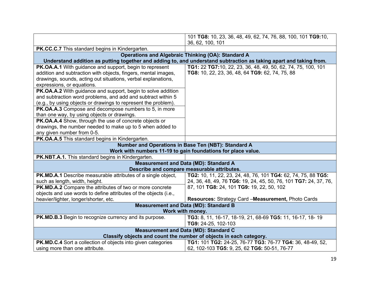|                                                                     | 101 TG8: 10, 23, 36, 48, 49, 62, 74, 76, 88, 100, 101 TG9:10,                                                      |
|---------------------------------------------------------------------|--------------------------------------------------------------------------------------------------------------------|
|                                                                     | 36, 62, 100, 101                                                                                                   |
|                                                                     |                                                                                                                    |
| PK.CC.C.7 This standard begins in Kindergarten.                     |                                                                                                                    |
|                                                                     | <b>Operations and Algebraic Thinking (OA): Standard A</b>                                                          |
|                                                                     | Understand addition as putting together and adding to, and understand subtraction as taking apart and taking from. |
| PK.OA.A.1 With guidance and support, begin to represent             | TG1: 22 TG7:10, 22, 23, 36, 48, 49, 50, 62, 74, 75, 100, 101                                                       |
| addition and subtraction with objects, fingers, mental images,      | TG8: 10, 22, 23, 36, 48, 64 TG9: 62, 74, 75, 88                                                                    |
| drawings, sounds, acting out situations, verbal explanations,       |                                                                                                                    |
| expressions, or equations.                                          |                                                                                                                    |
| PK.OA.A.2 With guidance and support, begin to solve addition        |                                                                                                                    |
| and subtraction word problems, and add and subtract within 5        |                                                                                                                    |
| (e.g., by using objects or drawings to represent the problem).      |                                                                                                                    |
| PK.OA.A.3 Compose and decompose numbers to 5, in more               |                                                                                                                    |
| than one way, by using objects or drawings.                         |                                                                                                                    |
| PK.OA.A.4 Show, through the use of concrete objects or              |                                                                                                                    |
| drawings, the number needed to make up to 5 when added to           |                                                                                                                    |
| any given number from 0-5.                                          |                                                                                                                    |
| PK.OA.A.5 This standard begins in Kindergarten.                     |                                                                                                                    |
| Number and Operations in Base Ten (NBT): Standard A                 |                                                                                                                    |
|                                                                     | Work with numbers 11-19 to gain foundations for place value.                                                       |
| PK.NBT.A.1. This standard begins in Kindergarten.                   |                                                                                                                    |
|                                                                     | <b>Measurement and Data (MD): Standard A</b>                                                                       |
|                                                                     | Describe and compare measurable attributes.                                                                        |
| <b>PK.MD.A.1</b> Describe measurable attributes of a single object, | TG2: 10, 11, 22, 23, 24, 48, 76, 101 TG4: 62, 74, 75, 88 TG5:                                                      |
| such as length, width, height.                                      | 24, 36, 48, 49, 76 TG6: 19, 24, 45, 50, 76, 101 TG7: 24, 37, 76,                                                   |
| PK.MD.A.2 Compare the attributes of two or more concrete            | 87, 101 TG8: 24, 101 TG9: 19, 22, 50, 102                                                                          |
| objects and use words to define attributes of the objects (i.e.,    |                                                                                                                    |
| heavier/lighter, longer/shorter, etc.                               | Resources: Strategy Card -Measurement, Photo Cards                                                                 |
|                                                                     | <b>Measurement and Data (MD): Standard B</b>                                                                       |
| Work with money.                                                    |                                                                                                                    |
| <b>PK.MD.B.3</b> Begin to recognize currency and its purpose.       | TG3: 8, 11, 16-17, 18-19, 21, 68-69 TG5: 11, 16-17, 18-19                                                          |
|                                                                     | TG9: 24-25, 102-103                                                                                                |
| <b>Measurement and Data (MD): Standard C</b>                        |                                                                                                                    |
| Classify objects and count the number of objects in each category.  |                                                                                                                    |
| PK.MD.C.4 Sort a collection of objects into given categories        | TG1: 101 TG2: 24-25, 76-77 TG3: 76-77 TG4: 36, 48-49, 52,                                                          |
| using more than one attribute.                                      | 62, 102-103 TG5: 9, 25, 62 TG6: 50-51, 76-77                                                                       |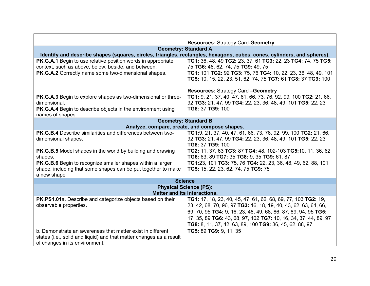|                                                                     | <b>Resources: Strategy Card-Geometry</b>                                                                                |  |
|---------------------------------------------------------------------|-------------------------------------------------------------------------------------------------------------------------|--|
|                                                                     | <b>Geometry: Standard A</b>                                                                                             |  |
|                                                                     | Identify and describe shapes (squares, circles, triangles, rectangles, hexagons, cubes, cones, cylinders, and spheres). |  |
| PK.G.A.1 Begin to use relative position words in appropriate        | TG1: 36, 48, 49 TG2: 23, 37, 61 TG3: 22, 23 TG4: 74, 75 TG5:                                                            |  |
|                                                                     |                                                                                                                         |  |
| context, such as above, below, beside, and between.                 | 75 TG6: 48, 62, 74, 75 TG9: 49, 75                                                                                      |  |
| PK.G.A.2 Correctly name some two-dimensional shapes.                | TG1: 101 TG2: 92 TG3: 75, 76 TG4: 10, 22, 23, 36, 48, 49, 101                                                           |  |
|                                                                     | TG5: 10, 15, 22, 23, 51, 62, 74, 75 TG7: 61 TG8: 37 TG9: 100                                                            |  |
|                                                                     |                                                                                                                         |  |
|                                                                     | <b>Resources: Strategy Card -Geometry</b>                                                                               |  |
| PK.G.A.3 Begin to explore shapes as two-dimensional or three-       | TG1: 9, 21, 37, 40, 47, 61, 66, 73, 76, 92, 99, 100 TG2: 21, 66,                                                        |  |
| dimensional.                                                        | 92 TG3: 21, 47, 99 TG4: 22, 23, 36, 48, 49, 101 TG5: 22, 23                                                             |  |
| PK.G.A.4 Begin to describe objects in the environment using         | TG8: 37 TG9: 100                                                                                                        |  |
| names of shapes.                                                    |                                                                                                                         |  |
|                                                                     | <b>Geometry: Standard B</b>                                                                                             |  |
| Analyze, compare, create, and compose shapes.                       |                                                                                                                         |  |
| PK.G.B.4 Describe similarities and differences between two-         | TG1:9, 21, 37, 40, 47, 61, 66, 73, 76, 92, 99, 100 TG2: 21, 66,                                                         |  |
| dimensional shapes.                                                 | 92 TG3: 21, 47, 99 TG4: 22, 23, 36, 48, 49, 101 TG5: 22, 23                                                             |  |
|                                                                     | TG8: 37 TG9: 100                                                                                                        |  |
| PK.G.B.5 Model shapes in the world by building and drawing          | TG2: 11, 37, 63 TG3: 87 TG4: 48, 102-103 TG5:10, 11, 36, 62                                                             |  |
| shapes.                                                             | TG6: 63, 89 TG7: 35 TG8: 9, 35 TG9: 61, 87                                                                              |  |
| PK.G.B.6 Begin to recognize smaller shapes within a larger          | TG1:23, 101 TG3: 75, 76 TG4: 22, 23, 36, 48, 49, 62, 88, 101                                                            |  |
| shape, including that some shapes can be put together to make       | TG5: 15, 22, 23, 62, 74, 75 TG9: 75                                                                                     |  |
| a new shape.                                                        |                                                                                                                         |  |
|                                                                     | <b>Science</b>                                                                                                          |  |
| <b>Physical Science (PS):</b>                                       |                                                                                                                         |  |
| <b>Matter and its interactions.</b>                                 |                                                                                                                         |  |
| PK.PS1.01a. Describe and categorize objects based on their          | TG1: 17, 18, 23, 40, 45, 47, 61, 62, 68, 69, 77, 103 TG2: 19,                                                           |  |
| observable properties.                                              | 23, 42, 68, 70, 96, 97 TG3: 16, 18, 19, 40, 43, 62, 63, 64, 66,                                                         |  |
|                                                                     | 69, 70, 95 TG4: 9, 16, 23, 48, 49, 68, 86, 87, 89, 94, 95 TG5:                                                          |  |
|                                                                     | 17, 35, 89 TG6: 43, 68, 97, 102 TG7: 10, 16, 34, 37, 44, 89, 97                                                         |  |
|                                                                     |                                                                                                                         |  |
|                                                                     | TG8: 8, 11, 37, 42, 63, 89, 100 TG9: 36, 45, 62, 88, 97                                                                 |  |
| b. Demonstrate an awareness that matter exist in different          | TG5: 89 TG9: 9, 11, 35                                                                                                  |  |
| states (i.e., solid and liquid) and that matter changes as a result |                                                                                                                         |  |
| of changes in its environment.                                      |                                                                                                                         |  |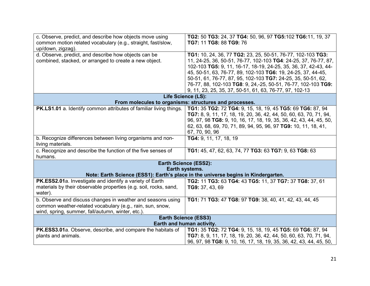| c. Observe, predict, and describe how objects move using<br>common motion related vocabulary (e.g., straight, fast/slow,<br>up/down, zigzag).<br>d. Observe, predict, and describe how objects can be<br>combined, stacked, or arranged to create a new object. | TG2: 50 TG3: 24, 37 TG4: 50, 96, 97 TG5:102 TG6:11, 19, 37<br>TG7: 11 TG8: 88 TG9: 76<br>TG1: 10, 24, 36, 77 TG2: 23, 25, 50-51, 76-77, 102-103 TG3:<br>11, 24-25, 36, 50-51, 76-77, 102-103 TG4: 24-25, 37, 76-77, 87,                                                                                                     |  |
|-----------------------------------------------------------------------------------------------------------------------------------------------------------------------------------------------------------------------------------------------------------------|-----------------------------------------------------------------------------------------------------------------------------------------------------------------------------------------------------------------------------------------------------------------------------------------------------------------------------|--|
|                                                                                                                                                                                                                                                                 | 102-103 TG5: 9, 11, 16-17, 18-19, 24-25, 35, 36, 37, 42-43, 44-<br>45, 50-51, 63, 76-77, 89, 102-103 TG6: 19, 24-25, 37, 44-45,<br>50-51, 61, 76-77, 87, 95, 102-103 TG7: 24-25, 35, 50-51, 62,<br>76-77, 88, 102-103 TG8: 9, 24,-25, 50-51, 76-77, 102-103 TG9:<br>9, 11, 23, 25, 35, 37, 50-51, 61, 63, 76-77, 97, 102-13 |  |
|                                                                                                                                                                                                                                                                 | Life Science (LS):                                                                                                                                                                                                                                                                                                          |  |
|                                                                                                                                                                                                                                                                 | From molecules to organisms: structures and processes.                                                                                                                                                                                                                                                                      |  |
| PK.LS1.01 a. Identify common attributes of familiar living things.                                                                                                                                                                                              | TG1: 35 TG2: 72 TG4: 9, 15, 18, 19, 45 TG5: 69 TG6: 87, 94<br>TG7: 8, 9, 11, 17, 18, 19, 20, 36, 42, 44, 50, 60, 63, 70, 71, 94,<br>96, 97, 98 TG8: 9, 10, 16, 17, 18, 19, 35, 36, 42, 43, 44, 45, 50,<br>62, 63, 68, 69, 70, 71, 89, 94, 95, 96, 97 TG9: 10, 11, 18, 41,<br>67, 70, 90, 96                                 |  |
| b. Recognize differences between living organisms and non-<br>living materials.                                                                                                                                                                                 | TG4: 9, 11, 17, 18, 19                                                                                                                                                                                                                                                                                                      |  |
| c. Recognize and describe the function of the five senses of<br>humans.                                                                                                                                                                                         | TG1: 45, 47, 62, 63, 74, 77 TG3: 63 TG7: 9, 63 TG8: 63                                                                                                                                                                                                                                                                      |  |
|                                                                                                                                                                                                                                                                 | Earth Science (ESS2):                                                                                                                                                                                                                                                                                                       |  |
| Earth systems.                                                                                                                                                                                                                                                  |                                                                                                                                                                                                                                                                                                                             |  |
| Note: Earth Science (ESS1): Earth's place in the universe begins in Kindergarten.                                                                                                                                                                               |                                                                                                                                                                                                                                                                                                                             |  |
| PK.ESS2.01a. Investigate and identify a variety of Earth                                                                                                                                                                                                        | TG2: 11 TG3: 63 TG4: 43 TG5: 11, 37 TG7: 37 TG8: 37, 61                                                                                                                                                                                                                                                                     |  |
| materials by their observable properties (e.g. soil, rocks, sand,<br>water).                                                                                                                                                                                    | TG9: 37, 43, 69                                                                                                                                                                                                                                                                                                             |  |
| b. Observe and discuss changes in weather and seasons using                                                                                                                                                                                                     | TG1: 71 TG3: 47 TG8: 97 TG9: 38, 40, 41, 42, 43, 44, 45                                                                                                                                                                                                                                                                     |  |
| common weather-related vocabulary (e.g., rain, sun, snow,<br>wind, spring, summer, fall/autumn, winter, etc.).                                                                                                                                                  |                                                                                                                                                                                                                                                                                                                             |  |
| <b>Earth Science (ESS3)</b>                                                                                                                                                                                                                                     |                                                                                                                                                                                                                                                                                                                             |  |
|                                                                                                                                                                                                                                                                 | Earth and human activity.                                                                                                                                                                                                                                                                                                   |  |
| PK.ESS3.01a. Observe, describe, and compare the habitats of                                                                                                                                                                                                     | TG1: 35 TG2: 72 TG4: 9, 15, 18, 19, 45 TG5: 69 TG6: 87, 94                                                                                                                                                                                                                                                                  |  |
| plants and animals.                                                                                                                                                                                                                                             | TG7: 8, 9, 11, 17, 18, 19, 20, 36, 42, 44, 50, 60, 63, 70, 71, 94,                                                                                                                                                                                                                                                          |  |
|                                                                                                                                                                                                                                                                 | 96, 97, 98 TG8: 9, 10, 16, 17, 18, 19, 35, 36, 42, 43, 44, 45, 50,                                                                                                                                                                                                                                                          |  |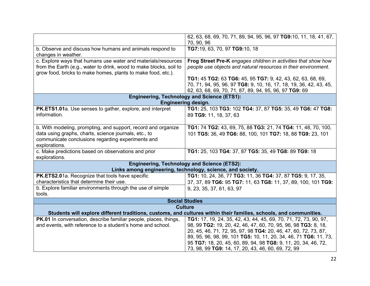|                                                                                                                                                                                                     | 62, 63, 68, 69, 70, 71, 89, 94, 95, 96, 97 TG9:10, 11, 18, 41, 67,<br>70, 90, 96                                                                                                            |
|-----------------------------------------------------------------------------------------------------------------------------------------------------------------------------------------------------|---------------------------------------------------------------------------------------------------------------------------------------------------------------------------------------------|
| b. Observe and discuss how humans and animals respond to<br>changes in weather.                                                                                                                     | TG7:19, 63, 70, 97 TG9:10, 18                                                                                                                                                               |
| c. Explore ways that humans use water and materials/resources<br>from the Earth (e.g., water to drink, wood to make blocks, soil to<br>grow food, bricks to make homes, plants to make food, etc.). | Frog Street Pre-K engages children in activities that show how<br>people use objects and natural resources in their environment.                                                            |
|                                                                                                                                                                                                     | TG1: 45 TG2: 63 TG6: 45, 95 TG7: 9, 42, 43, 62, 63, 68, 69,<br>70, 71, 94, 95, 96, 97 TG8: 9, 10, 16, 17, 18, 19, 36, 42, 43, 45,<br>62, 63, 68, 69, 70, 71, 87, 89, 94, 95, 96, 97 TG9: 69 |
|                                                                                                                                                                                                     | <b>Engineering, Technology and Science (ETS1):</b>                                                                                                                                          |
|                                                                                                                                                                                                     | <b>Engineering design.</b>                                                                                                                                                                  |
| PK.ETS1.01a. Use senses to gather, explore, and interpret                                                                                                                                           | TG1: 25, 103 TG3: 102 TG4: 37, 87 TG5: 35, 49 TG6: 47 TG8:                                                                                                                                  |
| information.                                                                                                                                                                                        | 89 TG9: 11, 18, 37, 63                                                                                                                                                                      |
| b. With modeling, prompting, and support, record and organize                                                                                                                                       | TG1: 74 TG2: 43, 69, 75, 88 TG3: 21, 74 TG4: 11, 48, 70, 100,                                                                                                                               |
| data using graphs, charts, science journals, etc., to                                                                                                                                               | 101 TG5: 36, 49 TG6: 88, 100, 101 TG7: 18, 88 TG9: 23, 101                                                                                                                                  |
| communicate conclusions regarding experiments and                                                                                                                                                   |                                                                                                                                                                                             |
| explorations.                                                                                                                                                                                       |                                                                                                                                                                                             |
| c. Make predictions based on observations and prior                                                                                                                                                 | TG1: 25, 103 TG4: 37, 87 TG5: 35, 49 TG8: 89 TG9: 18                                                                                                                                        |
| explorations.                                                                                                                                                                                       |                                                                                                                                                                                             |
|                                                                                                                                                                                                     | <b>Engineering, Technology and Science (ETS2):</b>                                                                                                                                          |
|                                                                                                                                                                                                     | Links among engineering, technology, science, and society.                                                                                                                                  |
| PK.ETS2.01a. Recognize that tools have specific                                                                                                                                                     | TG1: 10, 24, 36, 77 TG3: 11, 36 TG4: 37, 87 TG5: 9, 17, 35,                                                                                                                                 |
| characteristics that determine their use.                                                                                                                                                           | 37, 37, 89 TG6: 95 TG7: 11, 63 TG8: 11, 37, 89, 100, 101 TG9:                                                                                                                               |
| b. Explore familiar environments through the use of simple                                                                                                                                          | 9, 23, 35, 37, 61, 63, 97                                                                                                                                                                   |
| tools.                                                                                                                                                                                              |                                                                                                                                                                                             |
|                                                                                                                                                                                                     | <b>Social Studies</b>                                                                                                                                                                       |
|                                                                                                                                                                                                     | <b>Culture</b>                                                                                                                                                                              |
| Students will explore different traditions, customs, and cultures within their families, schools, and communities.                                                                                  |                                                                                                                                                                                             |
| PK.01 In conversation, describe familiar people, places, things,                                                                                                                                    | TG1: 17, 19, 24, 35, 42, 43, 44, 45, 69, 70, 71, 72, 73, 90, 97,                                                                                                                            |
| and events, with reference to a student's home and school.                                                                                                                                          | 98, 99 TG2: 19, 20, 42, 46, 47, 60, 70, 95, 96, 98 TG3: 8, 18,                                                                                                                              |
|                                                                                                                                                                                                     | 20, 45, 46, 71, 72, 95, 97, 98 TG4: 20, 46, 47, 60, 72, 73, 87,                                                                                                                             |
|                                                                                                                                                                                                     | 89, 95, 96, 98, 99, 101 TG5: 10, 11, 20, 34, 46, 71 TG6: 11, 73,                                                                                                                            |
|                                                                                                                                                                                                     | 95 TG7: 18, 20, 45, 60, 89, 94, 98 TG8: 9, 11, 20, 34, 46, 72,                                                                                                                              |
|                                                                                                                                                                                                     | 73, 98, 99 TG9: 14, 17, 20, 43, 46, 60, 69, 72, 99                                                                                                                                          |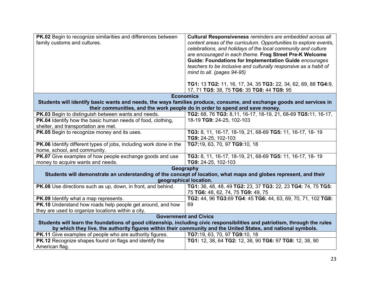| PK.02 Begin to recognize similarities and differences between<br>family customs and cultures.                                                           | Cultural Responsiveness reminders are embedded across all<br>content areas of the curriculum. Opportunities to explore events,<br>celebrations, and holidays of the local community and culture<br>are encouraged in each theme. Frog Street Pre-K Welcome<br><b>Guide: Foundations for Implementation Guide encourages</b> |  |
|---------------------------------------------------------------------------------------------------------------------------------------------------------|-----------------------------------------------------------------------------------------------------------------------------------------------------------------------------------------------------------------------------------------------------------------------------------------------------------------------------|--|
|                                                                                                                                                         | teachers to be inclusive and culturally responsive as a habit of                                                                                                                                                                                                                                                            |  |
|                                                                                                                                                         | mind to all. (pages 94-95)                                                                                                                                                                                                                                                                                                  |  |
|                                                                                                                                                         | TG1: 13 TG2: 11, 16, 17, 34, 35 TG3: 22, 34, 62, 69, 88 TG4:9,<br>17, 71 TG5: 38, 75 TG6: 35 TG8: 44 TG9: 95                                                                                                                                                                                                                |  |
|                                                                                                                                                         | <b>Economics</b>                                                                                                                                                                                                                                                                                                            |  |
| Students will identify basic wants and needs, the ways families produce, consume, and exchange goods and services in                                    |                                                                                                                                                                                                                                                                                                                             |  |
|                                                                                                                                                         | their communities, and the work people do in order to spend and save money.                                                                                                                                                                                                                                                 |  |
| PK.03 Begin to distinguish between wants and needs.                                                                                                     | TG2: 68, 76 TG3: 8,11, 16-17, 18-19, 21, 68-69 TG5:11, 16-17,                                                                                                                                                                                                                                                               |  |
| PK.04 Identify how the basic human needs of food, clothing,                                                                                             | 18-19 TG9: 24-25, 102-103                                                                                                                                                                                                                                                                                                   |  |
| shelter, and transportation are met.                                                                                                                    |                                                                                                                                                                                                                                                                                                                             |  |
| PK.05 Begin to recognize money and its uses.                                                                                                            | TG3: 8, 11, 16-17, 18-19, 21, 68-69 TG5: 11, 16-17, 18-19                                                                                                                                                                                                                                                                   |  |
|                                                                                                                                                         | TG9: 24-25, 102-103                                                                                                                                                                                                                                                                                                         |  |
| PK.06 Identify different types of jobs, including work done in the<br>home, school, and community.                                                      | TG7:19, 63, 70, 97 TG9:10, 18                                                                                                                                                                                                                                                                                               |  |
| PK.07 Give examples of how people exchange goods and use                                                                                                | TG3: 8, 11, 16-17, 18-19, 21, 68-69 TG5: 11, 16-17, 18-19                                                                                                                                                                                                                                                                   |  |
| money to acquire wants and needs.                                                                                                                       | TG9: 24-25, 102-103                                                                                                                                                                                                                                                                                                         |  |
| Geography<br>Students will demonstrate an understanding of the concept of location, what maps and globes represent, and their<br>geographical location. |                                                                                                                                                                                                                                                                                                                             |  |
| PK.08 Use directions such as up, down, in front, and behind.                                                                                            | TG1: 36, 48, 48, 49 TG2: 23, 37 TG3: 22, 23 TG4: 74, 75 TG5:                                                                                                                                                                                                                                                                |  |
|                                                                                                                                                         | 75 TG6: 48, 62, 74, 75 TG9: 49, 75                                                                                                                                                                                                                                                                                          |  |
| PK.09 Identify what a map represents.                                                                                                                   | TG2: 44, 96 TG3:69 TG4: 45 TG6: 44, 63, 69, 70, 71, 102 TG8:                                                                                                                                                                                                                                                                |  |
| PK.10 Understand how roads help people get around, and how                                                                                              | 69                                                                                                                                                                                                                                                                                                                          |  |
| they are used to organize locations within a city.                                                                                                      |                                                                                                                                                                                                                                                                                                                             |  |
| <b>Government and Civics</b>                                                                                                                            |                                                                                                                                                                                                                                                                                                                             |  |
| Students will learn the foundations of good citizenship, including civic responsibilities and patriotism, through the rules                             |                                                                                                                                                                                                                                                                                                                             |  |
| by which they live, the authority figures within their community and the United States, and national symbols.                                           |                                                                                                                                                                                                                                                                                                                             |  |
| PK.11 Give examples of people who are authority figures.                                                                                                | TG7:19, 63, 70, 97 TG9:10, 18                                                                                                                                                                                                                                                                                               |  |
| PK.12 Recognize shapes found on flags and identify the                                                                                                  | TG1: 12, 38, 64 TG2: 12, 38, 90 TG6: 97 TG8: 12, 38, 90                                                                                                                                                                                                                                                                     |  |
| American flag.                                                                                                                                          |                                                                                                                                                                                                                                                                                                                             |  |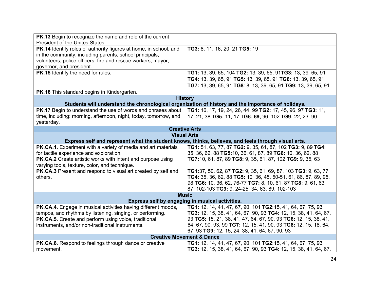| <b>PK.13</b> Begin to recognize the name and role of the current  |                                                                                                     |
|-------------------------------------------------------------------|-----------------------------------------------------------------------------------------------------|
| President of the Unites States.                                   |                                                                                                     |
| PK.14 Identify roles of authority figures at home, in school, and | TG3: 8, 11, 16, 20, 21 TG5: 19                                                                      |
| in the community, including parents, school principals,           |                                                                                                     |
| volunteers, police officers, fire and rescue workers, mayor,      |                                                                                                     |
| governor, and president.                                          |                                                                                                     |
| PK.15 Identify the need for rules.                                |                                                                                                     |
|                                                                   | TG1: 13, 39, 65, 104 TG2: 13, 39, 65, 91TG3: 13, 39, 65, 91                                         |
|                                                                   | TG4: 13, 39, 65, 91 TG5: 13, 39, 65, 91 TG6: 13, 39, 65, 91                                         |
|                                                                   | TG7: 13, 39, 65, 91 TG8: 8, 13, 39, 65, 91 TG9: 13, 39, 65, 91                                      |
| PK.16 This standard begins in Kindergarten.                       |                                                                                                     |
|                                                                   | <b>History</b>                                                                                      |
|                                                                   | Students will understand the chronological organization of history and the importance of holidays.  |
| PK.17 Begin to understand the use of words and phrases about      | TG1: 16, 17, 19, 24, 26, 44, 99 TG2: 17, 45, 96, 97 TG3: 11,                                        |
| time, including: morning, afternoon, night, today, tomorrow, and  | 17, 21, 38 TG5: 11, 17 TG6: 69, 96, 102 TG9: 22, 23, 90                                             |
| yesterday.                                                        |                                                                                                     |
| <b>Creative Arts</b>                                              |                                                                                                     |
|                                                                   | <b>Visual Arts</b>                                                                                  |
|                                                                   | Express self and represent what the student knows, thinks, believes, and feels through visual arts. |
| PK.CA.1. Experiment with a variety of media and art materials     | TG1: 51, 63, 77, 87 TG2: 9, 35, 61, 87, 102 TG3: 9, 89 TG4:                                         |
| for tactile experience and exploration.                           | 35, 36, 62, 88 TG5:10, 36, 61, 87, 89 TG6: 10, 36, 62, 88                                           |
| PK.CA.2 Create artistic works with intent and purpose using       | TG7:10, 61, 87, 89 TG8: 9, 35, 61, 87, 102 TG9: 9, 35, 63                                           |
| varying tools, texture, color, and technique.                     |                                                                                                     |
| PK.CA.3 Present and respond to visual art created by self and     | TG1:37, 50, 62, 87 TG2: 9, 35, 61, 69, 87, 103 TG3: 9, 63, 77                                       |
| others.                                                           | TG4: 35, 36, 62, 88 TG5: 10, 36, 45, 50-51, 61, 86, 87, 89, 95,                                     |
|                                                                   | 98 TG6: 10, 36, 62, 76-77 TG7: 8, 10, 61, 87 TG8: 9, 61, 63,                                        |
|                                                                   | 87, 102-103 TG9: 9, 24-25, 34, 63, 89, 102-103                                                      |
|                                                                   | <b>Music</b>                                                                                        |
| Express self by engaging in musical activities.                   |                                                                                                     |
| PK.CA.4. Engage in musical activities having different moods,     | TG1: 12, 14, 41, 47, 67, 90, 101 TG2:15, 41, 64, 67, 75, 93                                         |
| tempos, and rhythms by listening, singing, or performing.         | TG3: 12, 15, 38, 41, 64, 67, 90, 93 TG4: 12, 15, 38, 41, 64, 67,                                    |
| PK.CA.5. Create and perform using voice, traditional              | 93 TG5: 15, 21, 38, 41, 47, 64, 67, 90, 93 TG6: 12, 15, 38, 41,                                     |
| instruments, and/or non-traditional instruments.                  | 64, 67, 90, 93, 99 TG7: 12, 15, 41, 90, 93 TG8: 12, 15, 18, 64,                                     |
|                                                                   | 67, 93 TG9: 12, 15, 24, 38, 41, 64, 67, 90, 93                                                      |
| <b>Creative Movement &amp; Dance</b>                              |                                                                                                     |
| PK.CA.6. Respond to feelings through dance or creative            | TG1: 12, 14, 41, 47, 67, 90, 101 TG2:15, 41, 64, 67, 75, 93                                         |
| movement.                                                         | TG3: 12, 15, 38, 41, 64, 67, 90, 93 TG4: 12, 15, 38, 41, 64, 67,                                    |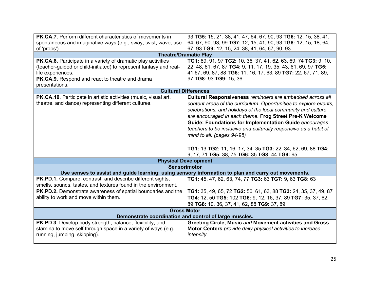| PK.CA.7. Perform different characteristics of movements in                                          | 93 TG5: 15, 21, 38, 41, 47, 64, 67, 90, 93 TG6: 12, 15, 38, 41,   |
|-----------------------------------------------------------------------------------------------------|-------------------------------------------------------------------|
| spontaneous and imaginative ways (e.g., sway, twist, wave, use                                      | 64, 67, 90, 93, 99 TG7: 12, 15, 41, 90, 93 TG8: 12, 15, 18, 64,   |
| of 'props').                                                                                        | 67, 93 TG9: 12, 15, 24, 38, 41, 64, 67, 90, 93                    |
| <b>Theatre/Dramatic Play</b>                                                                        |                                                                   |
| PK.CA.8. Participate in a variety of dramatic play activities                                       | TG1: 89, 91, 97 TG2: 10, 36, 37, 41, 62, 63, 69, 74 TG3: 9, 10,   |
| (teacher-guided or child-initiated) to represent fantasy and real-                                  | 22, 48, 61, 67, 87 TG4: 9, 11, 17, 19. 35, 43, 61, 69, 97 TG5:    |
| life experiences.                                                                                   | 41,67, 69, 87, 88 TG6: 11, 16, 17, 63, 89 TG7: 22, 67, 71, 89,    |
| PK.CA.9. Respond and react to theatre and drama                                                     | 97 TG8: 93 TG9: 15, 36                                            |
| presentations.                                                                                      |                                                                   |
| <b>Cultural Differences</b>                                                                         |                                                                   |
| PK.CA.10. Participate in artistic activities (music, visual art,                                    | Cultural Responsiveness reminders are embedded across all         |
| theatre, and dance) representing different cultures.                                                | content areas of the curriculum. Opportunities to explore events, |
|                                                                                                     | celebrations, and holidays of the local community and culture     |
|                                                                                                     | are encouraged in each theme. Frog Street Pre-K Welcome           |
|                                                                                                     | <b>Guide: Foundations for Implementation Guide encourages</b>     |
|                                                                                                     | teachers to be inclusive and culturally responsive as a habit of  |
|                                                                                                     | mind to all. (pages 94-95)                                        |
|                                                                                                     |                                                                   |
|                                                                                                     | TG1: 13 TG2: 11, 16, 17, 34, 35 TG3: 22, 34, 62, 69, 88 TG4:      |
|                                                                                                     | 9, 17, 71 TG5: 38, 75 TG6: 35 TG8: 44 TG9: 95                     |
| <b>Physical Development</b>                                                                         |                                                                   |
| <b>Sensorimotor</b>                                                                                 |                                                                   |
| Use senses to assist and guide learning; using sensory information to plan and carry out movements. |                                                                   |
| PK.PD.1. Compare, contrast, and describe different sights,                                          | TG1: 45, 47, 62, 63, 74, 77 TG3: 63 TG7: 9, 63 TG8: 63            |
| smells, sounds, tastes, and textures found in the environment.                                      |                                                                   |
| PK.PD.2. Demonstrate awareness of spatial boundaries and the                                        | TG1: 35, 49, 65, 72 TG2: 50, 61, 63, 88 TG3: 24, 35, 37, 49, 87   |
| ability to work and move within them.                                                               | TG4: 12, 50 TG5: 102 TG6: 9, 12, 16, 37, 89 TG7: 35, 37, 62,      |
|                                                                                                     | 89 TG8: 10, 36, 37, 41, 62, 88 TG9: 37, 89                        |
| <b>Gross Motor</b>                                                                                  |                                                                   |
| Demonstrate coordination and control of large muscles.                                              |                                                                   |
| PK.PD.3. Develop body strength, balance, flexibility, and                                           | Greeting Circle, Music and Movement activities and Gross          |
| stamina to move self through space in a variety of ways (e.g.,                                      | Motor Centers provide daily physical activities to increase       |
| running, jumping, skipping).                                                                        | intensity.                                                        |
|                                                                                                     |                                                                   |